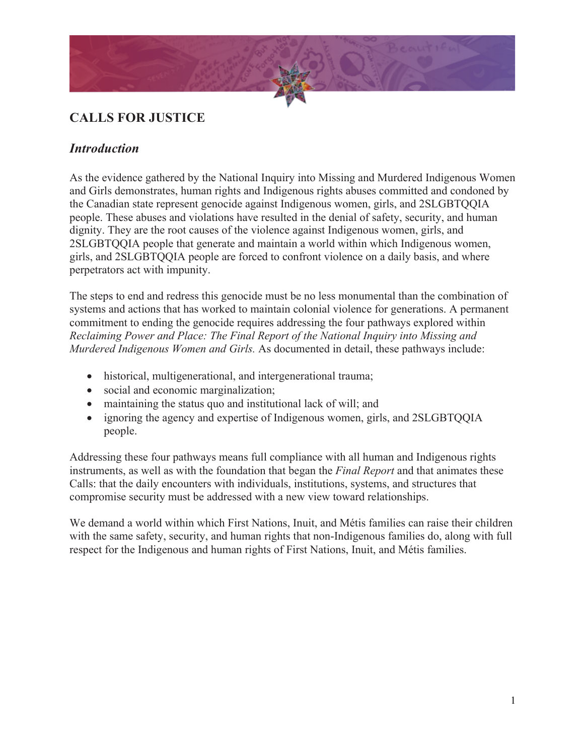

# **CALLS FOR JUSTICE**

### *Introduction*

As the evidence gathered by the National Inquiry into Missing and Murdered Indigenous Women and Girls demonstrates, human rights and Indigenous rights abuses committed and condoned by the Canadian state represent genocide against Indigenous women, girls, and 2SLGBTQQIA people. These abuses and violations have resulted in the denial of safety, security, and human dignity. They are the root causes of the violence against Indigenous women, girls, and 2SLGBTQQIA people that generate and maintain a world within which Indigenous women, girls, and 2SLGBTQQIA people are forced to confront violence on a daily basis, and where perpetrators act with impunity.

The steps to end and redress this genocide must be no less monumental than the combination of systems and actions that has worked to maintain colonial violence for generations. A permanent commitment to ending the genocide requires addressing the four pathways explored within *Reclaiming Power and Place: The Final Report of the National Inquiry into Missing and Murdered Indigenous Women and Girls.* As documented in detail, these pathways include:

- historical, multigenerational, and intergenerational trauma;
- social and economic marginalization;
- maintaining the status quo and institutional lack of will; and
- ignoring the agency and expertise of Indigenous women, girls, and 2SLGBTQQIA people.

Addressing these four pathways means full compliance with all human and Indigenous rights instruments, as well as with the foundation that began the *Final Report* and that animates these Calls: that the daily encounters with individuals, institutions, systems, and structures that compromise security must be addressed with a new view toward relationships.

We demand a world within which First Nations, Inuit, and Métis families can raise their children with the same safety, security, and human rights that non-Indigenous families do, along with full respect for the Indigenous and human rights of First Nations, Inuit, and Métis families.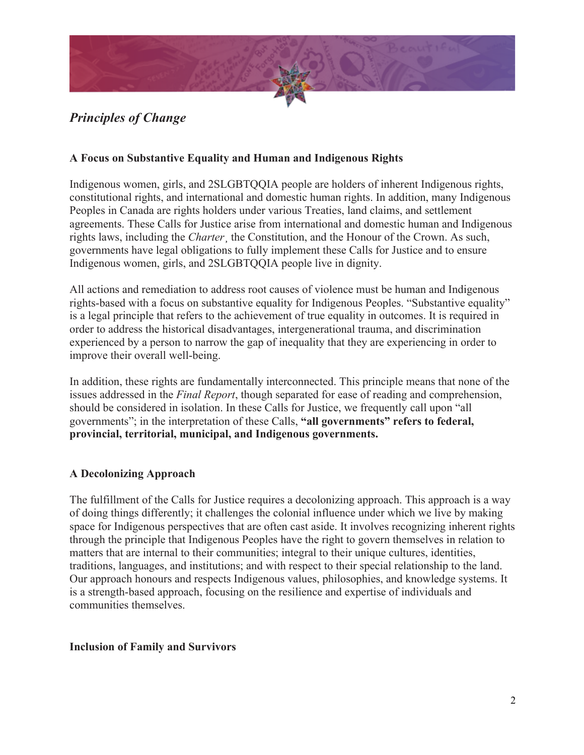

# *Principles of Change*

#### **A Focus on Substantive Equality and Human and Indigenous Rights**

Indigenous women, girls, and 2SLGBTQQIA people are holders of inherent Indigenous rights, constitutional rights, and international and domestic human rights. In addition, many Indigenous Peoples in Canada are rights holders under various Treaties, land claims, and settlement agreements. These Calls for Justice arise from international and domestic human and Indigenous rights laws, including the *Charter*¸ the Constitution, and the Honour of the Crown. As such, governments have legal obligations to fully implement these Calls for Justice and to ensure Indigenous women, girls, and 2SLGBTQQIA people live in dignity.

All actions and remediation to address root causes of violence must be human and Indigenous rights-based with a focus on substantive equality for Indigenous Peoples. "Substantive equality" is a legal principle that refers to the achievement of true equality in outcomes. It is required in order to address the historical disadvantages, intergenerational trauma, and discrimination experienced by a person to narrow the gap of inequality that they are experiencing in order to improve their overall well-being.

In addition, these rights are fundamentally interconnected. This principle means that none of the issues addressed in the *Final Report*, though separated for ease of reading and comprehension, should be considered in isolation. In these Calls for Justice, we frequently call upon "all governments"; in the interpretation of these Calls, **"all governments" refers to federal, provincial, territorial, municipal, and Indigenous governments.**

#### **A Decolonizing Approach**

The fulfillment of the Calls for Justice requires a decolonizing approach. This approach is a way of doing things differently; it challenges the colonial influence under which we live by making space for Indigenous perspectives that are often cast aside. It involves recognizing inherent rights through the principle that Indigenous Peoples have the right to govern themselves in relation to matters that are internal to their communities; integral to their unique cultures, identities, traditions, languages, and institutions; and with respect to their special relationship to the land. Our approach honours and respects Indigenous values, philosophies, and knowledge systems. It is a strength-based approach, focusing on the resilience and expertise of individuals and communities themselves.

#### **Inclusion of Family and Survivors**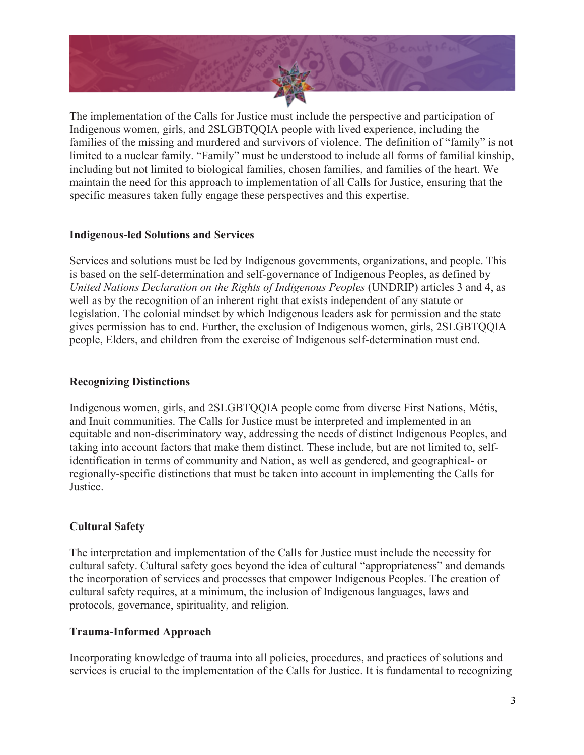

The implementation of the Calls for Justice must include the perspective and participation of Indigenous women, girls, and 2SLGBTQQIA people with lived experience, including the families of the missing and murdered and survivors of violence. The definition of "family" is not limited to a nuclear family. "Family" must be understood to include all forms of familial kinship, including but not limited to biological families, chosen families, and families of the heart. We maintain the need for this approach to implementation of all Calls for Justice, ensuring that the specific measures taken fully engage these perspectives and this expertise.

#### **Indigenous-led Solutions and Services**

Services and solutions must be led by Indigenous governments, organizations, and people. This is based on the self-determination and self-governance of Indigenous Peoples, as defined by *United Nations Declaration on the Rights of Indigenous Peoples* (UNDRIP) articles 3 and 4, as well as by the recognition of an inherent right that exists independent of any statute or legislation. The colonial mindset by which Indigenous leaders ask for permission and the state gives permission has to end. Further, the exclusion of Indigenous women, girls, 2SLGBTQQIA people, Elders, and children from the exercise of Indigenous self-determination must end.

### **Recognizing Distinctions**

Indigenous women, girls, and 2SLGBTQQIA people come from diverse First Nations, Métis, and Inuit communities. The Calls for Justice must be interpreted and implemented in an equitable and non-discriminatory way, addressing the needs of distinct Indigenous Peoples, and taking into account factors that make them distinct. These include, but are not limited to, selfidentification in terms of community and Nation, as well as gendered, and geographical- or regionally-specific distinctions that must be taken into account in implementing the Calls for Justice.

### **Cultural Safety**

The interpretation and implementation of the Calls for Justice must include the necessity for cultural safety. Cultural safety goes beyond the idea of cultural "appropriateness" and demands the incorporation of services and processes that empower Indigenous Peoples. The creation of cultural safety requires, at a minimum, the inclusion of Indigenous languages, laws and protocols, governance, spirituality, and religion.

### **Trauma-Informed Approach**

Incorporating knowledge of trauma into all policies, procedures, and practices of solutions and services is crucial to the implementation of the Calls for Justice. It is fundamental to recognizing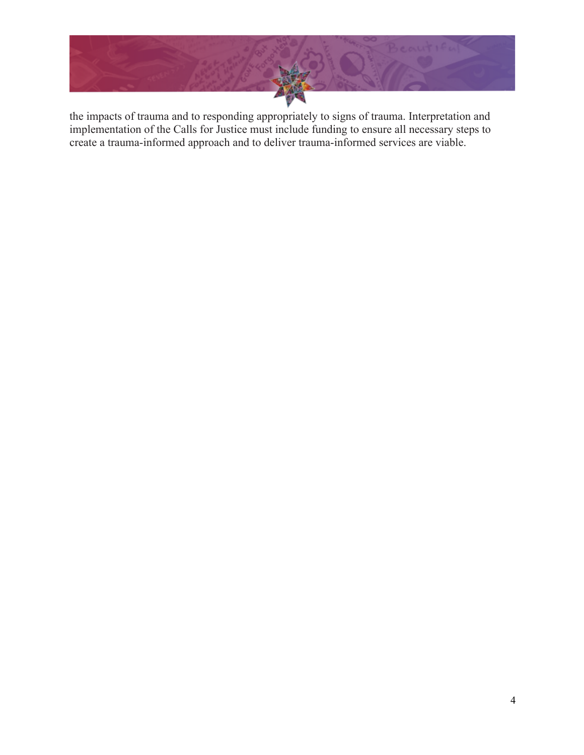

the impacts of trauma and to responding appropriately to signs of trauma. Interpretation and implementation of the Calls for Justice must include funding to ensure all necessary steps to create a trauma-informed approach and to deliver trauma-informed services are viable.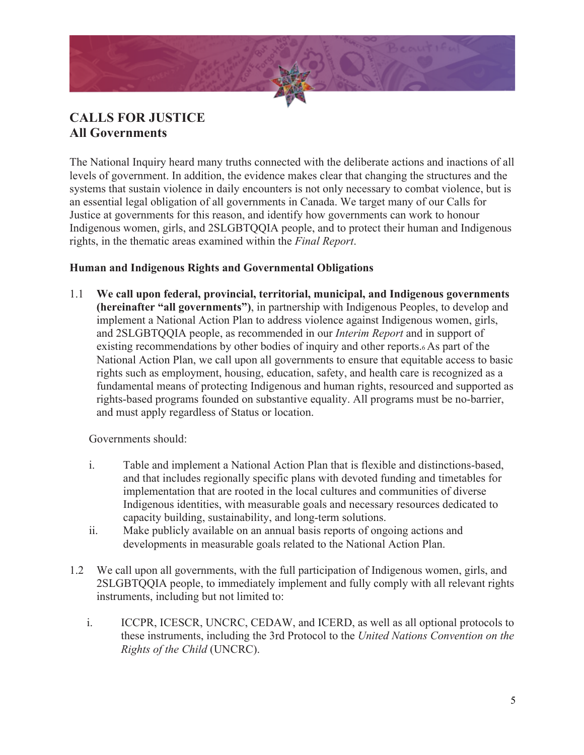

## **CALLS FOR JUSTICE All Governments**

The National Inquiry heard many truths connected with the deliberate actions and inactions of all levels of government. In addition, the evidence makes clear that changing the structures and the systems that sustain violence in daily encounters is not only necessary to combat violence, but is an essential legal obligation of all governments in Canada. We target many of our Calls for Justice at governments for this reason, and identify how governments can work to honour Indigenous women, girls, and 2SLGBTQQIA people, and to protect their human and Indigenous rights, in the thematic areas examined within the *Final Report*.

#### **Human and Indigenous Rights and Governmental Obligations**

1.1 **We call upon federal, provincial, territorial, municipal, and Indigenous governments (hereinafter "all governments")**, in partnership with Indigenous Peoples, to develop and implement a National Action Plan to address violence against Indigenous women, girls, and 2SLGBTQQIA people, as recommended in our *Interim Report* and in support of existing recommendations by other bodies of inquiry and other reports.6 As part of the National Action Plan, we call upon all governments to ensure that equitable access to basic rights such as employment, housing, education, safety, and health care is recognized as a fundamental means of protecting Indigenous and human rights, resourced and supported as rights-based programs founded on substantive equality. All programs must be no-barrier, and must apply regardless of Status or location.

Governments should:

- i. Table and implement a National Action Plan that is flexible and distinctions-based, and that includes regionally specific plans with devoted funding and timetables for implementation that are rooted in the local cultures and communities of diverse Indigenous identities, with measurable goals and necessary resources dedicated to capacity building, sustainability, and long-term solutions.
- ii. Make publicly available on an annual basis reports of ongoing actions and developments in measurable goals related to the National Action Plan.
- 1.2 We call upon all governments, with the full participation of Indigenous women, girls, and 2SLGBTQQIA people, to immediately implement and fully comply with all relevant rights instruments, including but not limited to:
	- i. ICCPR, ICESCR, UNCRC, CEDAW, and ICERD, as well as all optional protocols to these instruments, including the 3rd Protocol to the *United Nations Convention on the Rights of the Child* (UNCRC).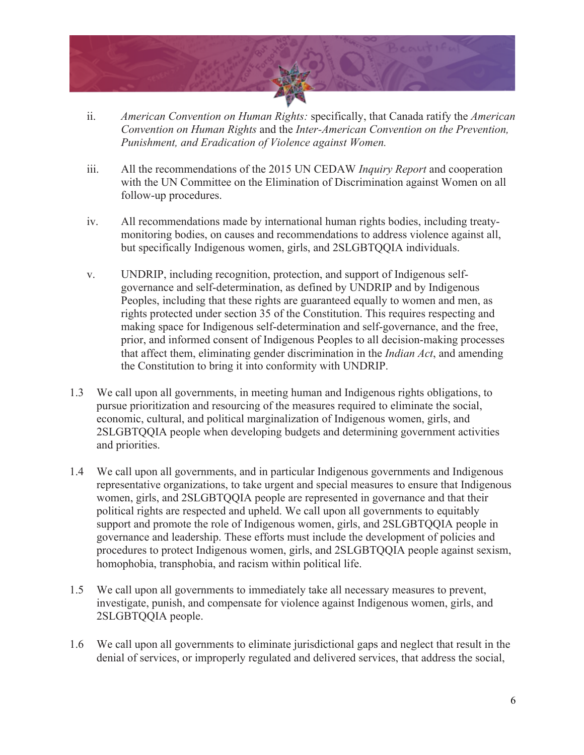

- ii. *American Convention on Human Rights:* specifically, that Canada ratify the *American Convention on Human Rights* and the *Inter-American Convention on the Prevention, Punishment, and Eradication of Violence against Women.*
- iii. All the recommendations of the 2015 UN CEDAW *Inquiry Report* and cooperation with the UN Committee on the Elimination of Discrimination against Women on all follow-up procedures.
- iv. All recommendations made by international human rights bodies, including treatymonitoring bodies, on causes and recommendations to address violence against all, but specifically Indigenous women, girls, and 2SLGBTQQIA individuals.
- v. UNDRIP, including recognition, protection, and support of Indigenous selfgovernance and self-determination, as defined by UNDRIP and by Indigenous Peoples, including that these rights are guaranteed equally to women and men, as rights protected under section 35 of the Constitution. This requires respecting and making space for Indigenous self-determination and self-governance, and the free, prior, and informed consent of Indigenous Peoples to all decision-making processes that affect them, eliminating gender discrimination in the *Indian Act*, and amending the Constitution to bring it into conformity with UNDRIP.
- 1.3 We call upon all governments, in meeting human and Indigenous rights obligations, to pursue prioritization and resourcing of the measures required to eliminate the social, economic, cultural, and political marginalization of Indigenous women, girls, and 2SLGBTQQIA people when developing budgets and determining government activities and priorities.
- 1.4 We call upon all governments, and in particular Indigenous governments and Indigenous representative organizations, to take urgent and special measures to ensure that Indigenous women, girls, and 2SLGBTQQIA people are represented in governance and that their political rights are respected and upheld. We call upon all governments to equitably support and promote the role of Indigenous women, girls, and 2SLGBTQQIA people in governance and leadership. These efforts must include the development of policies and procedures to protect Indigenous women, girls, and 2SLGBTQQIA people against sexism, homophobia, transphobia, and racism within political life.
- 1.5 We call upon all governments to immediately take all necessary measures to prevent, investigate, punish, and compensate for violence against Indigenous women, girls, and 2SLGBTQQIA people.
- 1.6 We call upon all governments to eliminate jurisdictional gaps and neglect that result in the denial of services, or improperly regulated and delivered services, that address the social,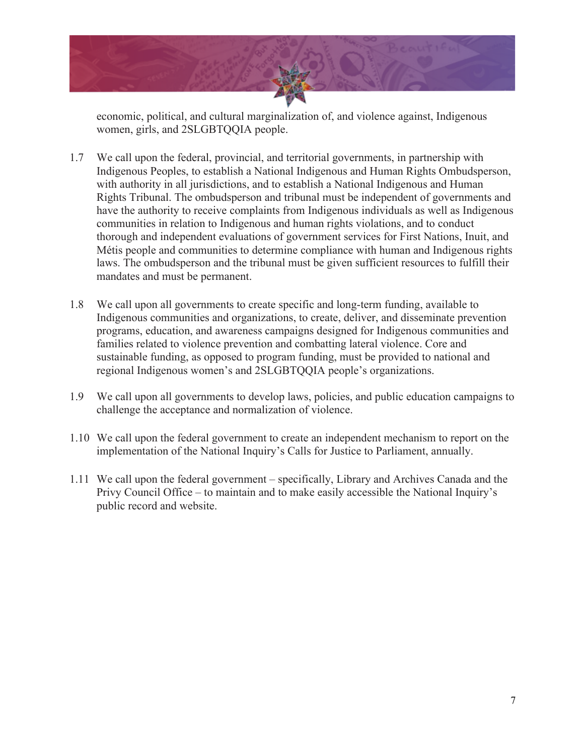

economic, political, and cultural marginalization of, and violence against, Indigenous women, girls, and 2SLGBTQQIA people.

- 1.7 We call upon the federal, provincial, and territorial governments, in partnership with Indigenous Peoples, to establish a National Indigenous and Human Rights Ombudsperson, with authority in all jurisdictions, and to establish a National Indigenous and Human Rights Tribunal. The ombudsperson and tribunal must be independent of governments and have the authority to receive complaints from Indigenous individuals as well as Indigenous communities in relation to Indigenous and human rights violations, and to conduct thorough and independent evaluations of government services for First Nations, Inuit, and Métis people and communities to determine compliance with human and Indigenous rights laws. The ombudsperson and the tribunal must be given sufficient resources to fulfill their mandates and must be permanent.
- 1.8 We call upon all governments to create specific and long-term funding, available to Indigenous communities and organizations, to create, deliver, and disseminate prevention programs, education, and awareness campaigns designed for Indigenous communities and families related to violence prevention and combatting lateral violence. Core and sustainable funding, as opposed to program funding, must be provided to national and regional Indigenous women's and 2SLGBTQQIA people's organizations.
- 1.9 We call upon all governments to develop laws, policies, and public education campaigns to challenge the acceptance and normalization of violence.
- 1.10 We call upon the federal government to create an independent mechanism to report on the implementation of the National Inquiry's Calls for Justice to Parliament, annually.
- 1.11 We call upon the federal government specifically, Library and Archives Canada and the Privy Council Office – to maintain and to make easily accessible the National Inquiry's public record and website.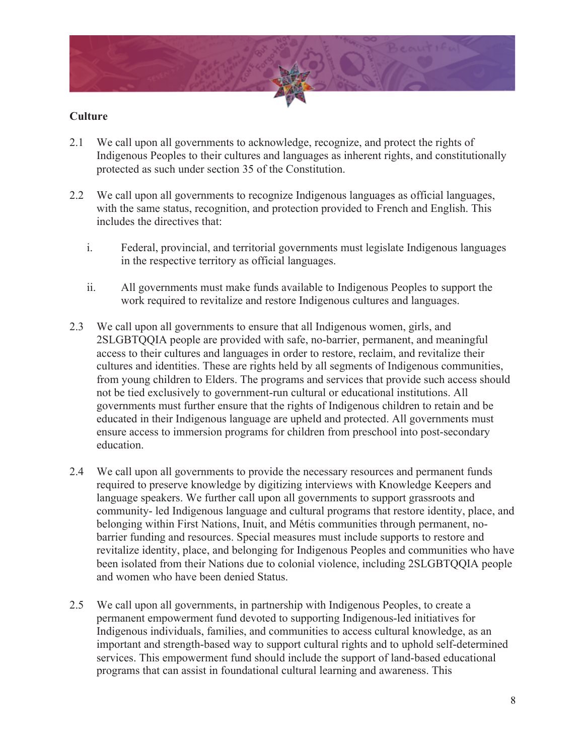

#### **Culture**

- 2.1 We call upon all governments to acknowledge, recognize, and protect the rights of Indigenous Peoples to their cultures and languages as inherent rights, and constitutionally protected as such under section 35 of the Constitution.
- 2.2 We call upon all governments to recognize Indigenous languages as official languages, with the same status, recognition, and protection provided to French and English. This includes the directives that:
	- i. Federal, provincial, and territorial governments must legislate Indigenous languages in the respective territory as official languages.
	- ii. All governments must make funds available to Indigenous Peoples to support the work required to revitalize and restore Indigenous cultures and languages.
- 2.3 We call upon all governments to ensure that all Indigenous women, girls, and 2SLGBTQQIA people are provided with safe, no-barrier, permanent, and meaningful access to their cultures and languages in order to restore, reclaim, and revitalize their cultures and identities. These are rights held by all segments of Indigenous communities, from young children to Elders. The programs and services that provide such access should not be tied exclusively to government-run cultural or educational institutions. All governments must further ensure that the rights of Indigenous children to retain and be educated in their Indigenous language are upheld and protected. All governments must ensure access to immersion programs for children from preschool into post-secondary education.
- 2.4 We call upon all governments to provide the necessary resources and permanent funds required to preserve knowledge by digitizing interviews with Knowledge Keepers and language speakers. We further call upon all governments to support grassroots and community- led Indigenous language and cultural programs that restore identity, place, and belonging within First Nations, Inuit, and Métis communities through permanent, nobarrier funding and resources. Special measures must include supports to restore and revitalize identity, place, and belonging for Indigenous Peoples and communities who have been isolated from their Nations due to colonial violence, including 2SLGBTQQIA people and women who have been denied Status.
- 2.5 We call upon all governments, in partnership with Indigenous Peoples, to create a permanent empowerment fund devoted to supporting Indigenous-led initiatives for Indigenous individuals, families, and communities to access cultural knowledge, as an important and strength-based way to support cultural rights and to uphold self-determined services. This empowerment fund should include the support of land-based educational programs that can assist in foundational cultural learning and awareness. This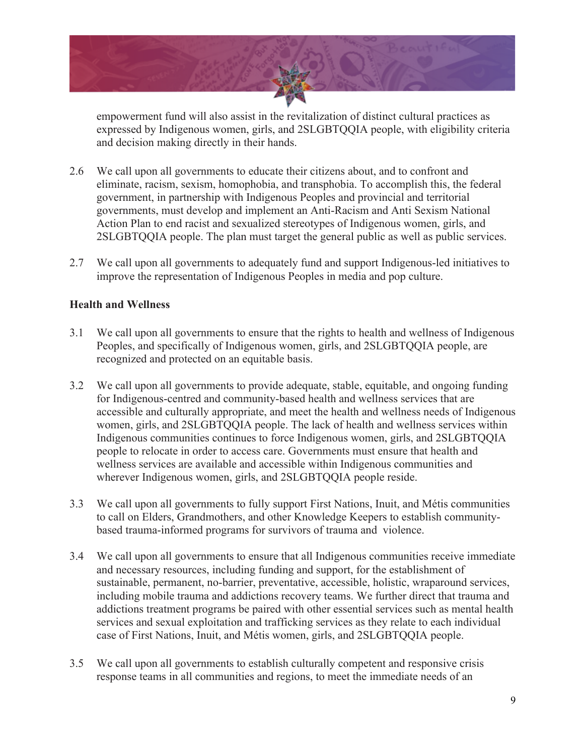

empowerment fund will also assist in the revitalization of distinct cultural practices as expressed by Indigenous women, girls, and 2SLGBTQQIA people, with eligibility criteria and decision making directly in their hands.

- 2.6 We call upon all governments to educate their citizens about, and to confront and eliminate, racism, sexism, homophobia, and transphobia. To accomplish this, the federal government, in partnership with Indigenous Peoples and provincial and territorial governments, must develop and implement an Anti-Racism and Anti Sexism National Action Plan to end racist and sexualized stereotypes of Indigenous women, girls, and 2SLGBTQQIA people. The plan must target the general public as well as public services.
- 2.7 We call upon all governments to adequately fund and support Indigenous-led initiatives to improve the representation of Indigenous Peoples in media and pop culture.

#### **Health and Wellness**

- 3.1 We call upon all governments to ensure that the rights to health and wellness of Indigenous Peoples, and specifically of Indigenous women, girls, and 2SLGBTQQIA people, are recognized and protected on an equitable basis.
- 3.2 We call upon all governments to provide adequate, stable, equitable, and ongoing funding for Indigenous-centred and community-based health and wellness services that are accessible and culturally appropriate, and meet the health and wellness needs of Indigenous women, girls, and 2SLGBTQQIA people. The lack of health and wellness services within Indigenous communities continues to force Indigenous women, girls, and 2SLGBTQQIA people to relocate in order to access care. Governments must ensure that health and wellness services are available and accessible within Indigenous communities and wherever Indigenous women, girls, and 2SLGBTQQIA people reside.
- 3.3 We call upon all governments to fully support First Nations, Inuit, and Métis communities to call on Elders, Grandmothers, and other Knowledge Keepers to establish communitybased trauma-informed programs for survivors of trauma and violence.
- 3.4 We call upon all governments to ensure that all Indigenous communities receive immediate and necessary resources, including funding and support, for the establishment of sustainable, permanent, no-barrier, preventative, accessible, holistic, wraparound services, including mobile trauma and addictions recovery teams. We further direct that trauma and addictions treatment programs be paired with other essential services such as mental health services and sexual exploitation and trafficking services as they relate to each individual case of First Nations, Inuit, and Métis women, girls, and 2SLGBTQQIA people.
- 3.5 We call upon all governments to establish culturally competent and responsive crisis response teams in all communities and regions, to meet the immediate needs of an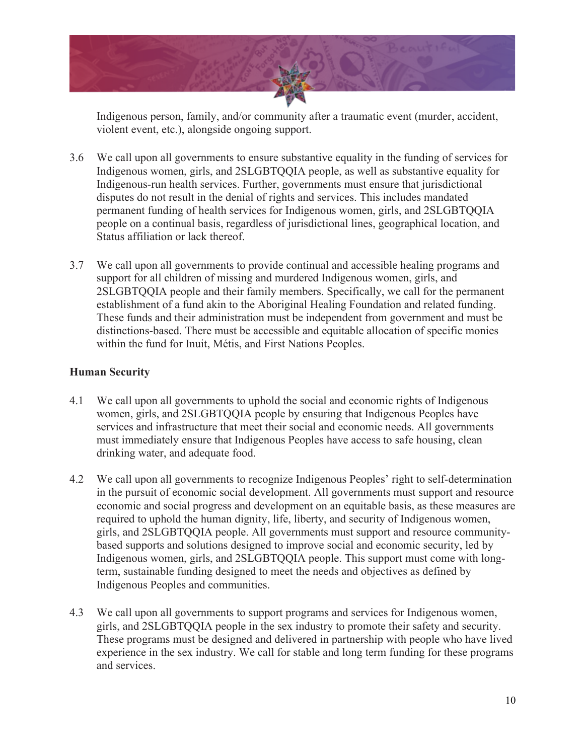

Indigenous person, family, and/or community after a traumatic event (murder, accident, violent event, etc.), alongside ongoing support.

- 3.6 We call upon all governments to ensure substantive equality in the funding of services for Indigenous women, girls, and 2SLGBTQQIA people, as well as substantive equality for Indigenous-run health services. Further, governments must ensure that jurisdictional disputes do not result in the denial of rights and services. This includes mandated permanent funding of health services for Indigenous women, girls, and 2SLGBTQQIA people on a continual basis, regardless of jurisdictional lines, geographical location, and Status affiliation or lack thereof.
- 3.7 We call upon all governments to provide continual and accessible healing programs and support for all children of missing and murdered Indigenous women, girls, and 2SLGBTQQIA people and their family members. Specifically, we call for the permanent establishment of a fund akin to the Aboriginal Healing Foundation and related funding. These funds and their administration must be independent from government and must be distinctions-based. There must be accessible and equitable allocation of specific monies within the fund for Inuit, Métis, and First Nations Peoples.

#### **Human Security**

- 4.1 We call upon all governments to uphold the social and economic rights of Indigenous women, girls, and 2SLGBTQQIA people by ensuring that Indigenous Peoples have services and infrastructure that meet their social and economic needs. All governments must immediately ensure that Indigenous Peoples have access to safe housing, clean drinking water, and adequate food.
- 4.2 We call upon all governments to recognize Indigenous Peoples' right to self-determination in the pursuit of economic social development. All governments must support and resource economic and social progress and development on an equitable basis, as these measures are required to uphold the human dignity, life, liberty, and security of Indigenous women, girls, and 2SLGBTQQIA people. All governments must support and resource communitybased supports and solutions designed to improve social and economic security, led by Indigenous women, girls, and 2SLGBTQQIA people. This support must come with longterm, sustainable funding designed to meet the needs and objectives as defined by Indigenous Peoples and communities.
- 4.3 We call upon all governments to support programs and services for Indigenous women, girls, and 2SLGBTQQIA people in the sex industry to promote their safety and security. These programs must be designed and delivered in partnership with people who have lived experience in the sex industry. We call for stable and long term funding for these programs and services.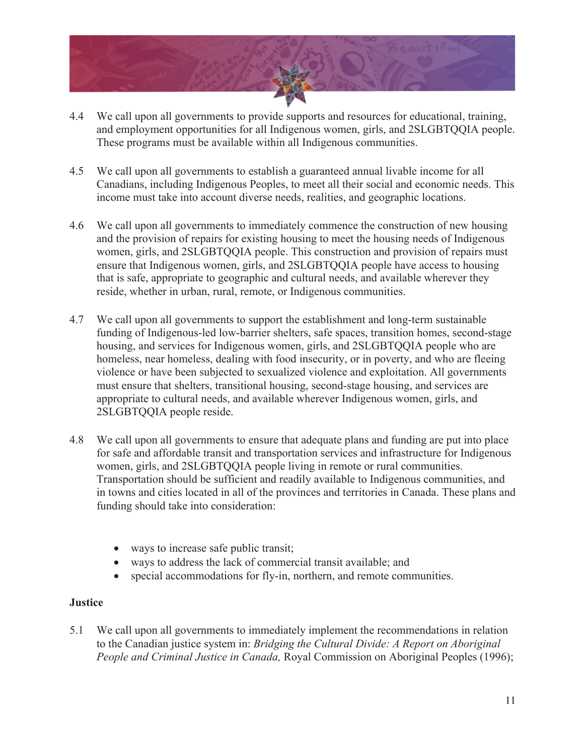

- 4.4 We call upon all governments to provide supports and resources for educational, training, and employment opportunities for all Indigenous women, girls, and 2SLGBTQQIA people. These programs must be available within all Indigenous communities.
- 4.5 We call upon all governments to establish a guaranteed annual livable income for all Canadians, including Indigenous Peoples, to meet all their social and economic needs. This income must take into account diverse needs, realities, and geographic locations.
- 4.6 We call upon all governments to immediately commence the construction of new housing and the provision of repairs for existing housing to meet the housing needs of Indigenous women, girls, and 2SLGBTQQIA people. This construction and provision of repairs must ensure that Indigenous women, girls, and 2SLGBTQQIA people have access to housing that is safe, appropriate to geographic and cultural needs, and available wherever they reside, whether in urban, rural, remote, or Indigenous communities.
- 4.7 We call upon all governments to support the establishment and long-term sustainable funding of Indigenous-led low-barrier shelters, safe spaces, transition homes, second-stage housing, and services for Indigenous women, girls, and 2SLGBTQQIA people who are homeless, near homeless, dealing with food insecurity, or in poverty, and who are fleeing violence or have been subjected to sexualized violence and exploitation. All governments must ensure that shelters, transitional housing, second-stage housing, and services are appropriate to cultural needs, and available wherever Indigenous women, girls, and 2SLGBTQQIA people reside.
- 4.8 We call upon all governments to ensure that adequate plans and funding are put into place for safe and affordable transit and transportation services and infrastructure for Indigenous women, girls, and 2SLGBTQQIA people living in remote or rural communities. Transportation should be sufficient and readily available to Indigenous communities, and in towns and cities located in all of the provinces and territories in Canada. These plans and funding should take into consideration:
	- ways to increase safe public transit;
	- ways to address the lack of commercial transit available; and
	- special accommodations for fly-in, northern, and remote communities.

#### **Justice**

5.1 We call upon all governments to immediately implement the recommendations in relation to the Canadian justice system in: *Bridging the Cultural Divide: A Report on Aboriginal People and Criminal Justice in Canada, Royal Commission on Aboriginal Peoples (1996);*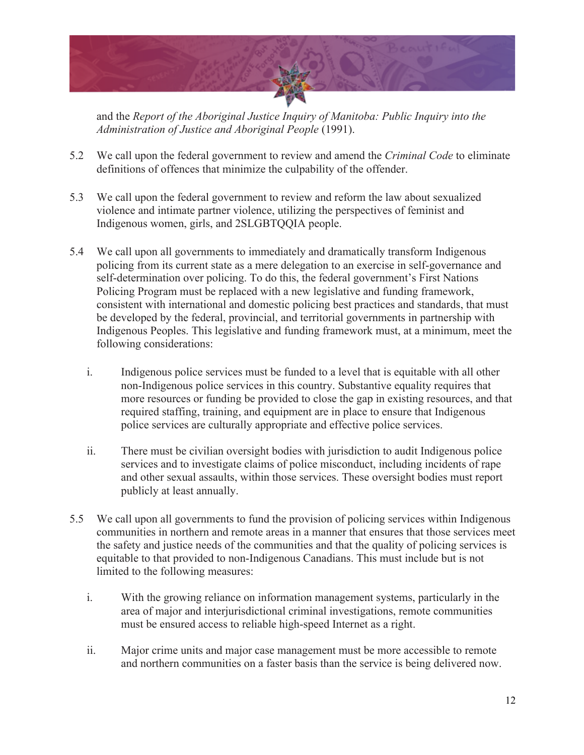

and the *Report of the Aboriginal Justice Inquiry of Manitoba: Public Inquiry into the Administration of Justice and Aboriginal People* (1991).

- 5.2 We call upon the federal government to review and amend the *Criminal Code* to eliminate definitions of offences that minimize the culpability of the offender.
- 5.3 We call upon the federal government to review and reform the law about sexualized violence and intimate partner violence, utilizing the perspectives of feminist and Indigenous women, girls, and 2SLGBTQQIA people.
- 5.4 We call upon all governments to immediately and dramatically transform Indigenous policing from its current state as a mere delegation to an exercise in self-governance and self-determination over policing. To do this, the federal government's First Nations Policing Program must be replaced with a new legislative and funding framework, consistent with international and domestic policing best practices and standards, that must be developed by the federal, provincial, and territorial governments in partnership with Indigenous Peoples. This legislative and funding framework must, at a minimum, meet the following considerations:
	- i. Indigenous police services must be funded to a level that is equitable with all other non-Indigenous police services in this country. Substantive equality requires that more resources or funding be provided to close the gap in existing resources, and that required staffing, training, and equipment are in place to ensure that Indigenous police services are culturally appropriate and effective police services.
	- ii. There must be civilian oversight bodies with jurisdiction to audit Indigenous police services and to investigate claims of police misconduct, including incidents of rape and other sexual assaults, within those services. These oversight bodies must report publicly at least annually.
- 5.5 We call upon all governments to fund the provision of policing services within Indigenous communities in northern and remote areas in a manner that ensures that those services meet the safety and justice needs of the communities and that the quality of policing services is equitable to that provided to non-Indigenous Canadians. This must include but is not limited to the following measures:
	- i. With the growing reliance on information management systems, particularly in the area of major and interjurisdictional criminal investigations, remote communities must be ensured access to reliable high-speed Internet as a right.
	- ii. Major crime units and major case management must be more accessible to remote and northern communities on a faster basis than the service is being delivered now.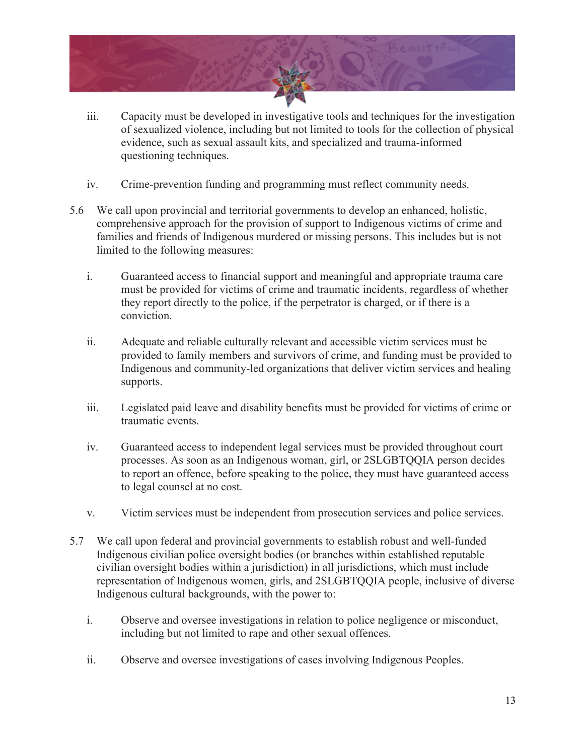

- iii. Capacity must be developed in investigative tools and techniques for the investigation of sexualized violence, including but not limited to tools for the collection of physical evidence, such as sexual assault kits, and specialized and trauma-informed questioning techniques.
- iv. Crime-prevention funding and programming must reflect community needs.
- 5.6 We call upon provincial and territorial governments to develop an enhanced, holistic, comprehensive approach for the provision of support to Indigenous victims of crime and families and friends of Indigenous murdered or missing persons. This includes but is not limited to the following measures:
	- i. Guaranteed access to financial support and meaningful and appropriate trauma care must be provided for victims of crime and traumatic incidents, regardless of whether they report directly to the police, if the perpetrator is charged, or if there is a conviction.
	- ii. Adequate and reliable culturally relevant and accessible victim services must be provided to family members and survivors of crime, and funding must be provided to Indigenous and community-led organizations that deliver victim services and healing supports.
	- iii. Legislated paid leave and disability benefits must be provided for victims of crime or traumatic events.
	- iv. Guaranteed access to independent legal services must be provided throughout court processes. As soon as an Indigenous woman, girl, or 2SLGBTQQIA person decides to report an offence, before speaking to the police, they must have guaranteed access to legal counsel at no cost.
	- v. Victim services must be independent from prosecution services and police services.
- 5.7 We call upon federal and provincial governments to establish robust and well-funded Indigenous civilian police oversight bodies (or branches within established reputable civilian oversight bodies within a jurisdiction) in all jurisdictions, which must include representation of Indigenous women, girls, and 2SLGBTQQIA people, inclusive of diverse Indigenous cultural backgrounds, with the power to:
	- i. Observe and oversee investigations in relation to police negligence or misconduct, including but not limited to rape and other sexual offences.
	- ii. Observe and oversee investigations of cases involving Indigenous Peoples.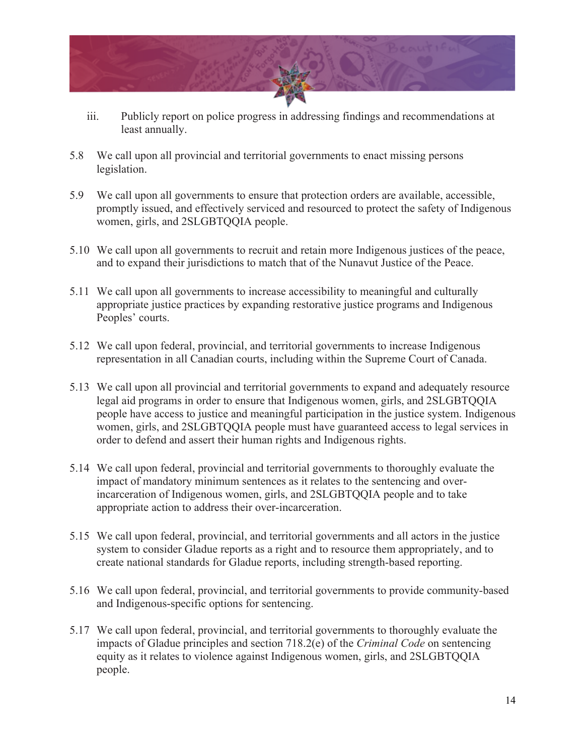

- iii. Publicly report on police progress in addressing findings and recommendations at least annually.
- 5.8 We call upon all provincial and territorial governments to enact missing persons legislation.
- 5.9 We call upon all governments to ensure that protection orders are available, accessible, promptly issued, and effectively serviced and resourced to protect the safety of Indigenous women, girls, and 2SLGBTQQIA people.
- 5.10 We call upon all governments to recruit and retain more Indigenous justices of the peace, and to expand their jurisdictions to match that of the Nunavut Justice of the Peace.
- 5.11 We call upon all governments to increase accessibility to meaningful and culturally appropriate justice practices by expanding restorative justice programs and Indigenous Peoples' courts.
- 5.12 We call upon federal, provincial, and territorial governments to increase Indigenous representation in all Canadian courts, including within the Supreme Court of Canada.
- 5.13 We call upon all provincial and territorial governments to expand and adequately resource legal aid programs in order to ensure that Indigenous women, girls, and 2SLGBTQQIA people have access to justice and meaningful participation in the justice system. Indigenous women, girls, and 2SLGBTQQIA people must have guaranteed access to legal services in order to defend and assert their human rights and Indigenous rights.
- 5.14 We call upon federal, provincial and territorial governments to thoroughly evaluate the impact of mandatory minimum sentences as it relates to the sentencing and overincarceration of Indigenous women, girls, and 2SLGBTQQIA people and to take appropriate action to address their over-incarceration.
- 5.15 We call upon federal, provincial, and territorial governments and all actors in the justice system to consider Gladue reports as a right and to resource them appropriately, and to create national standards for Gladue reports, including strength-based reporting.
- 5.16 We call upon federal, provincial, and territorial governments to provide community-based and Indigenous-specific options for sentencing.
- 5.17 We call upon federal, provincial, and territorial governments to thoroughly evaluate the impacts of Gladue principles and section 718.2(e) of the *Criminal Code* on sentencing equity as it relates to violence against Indigenous women, girls, and 2SLGBTQQIA people.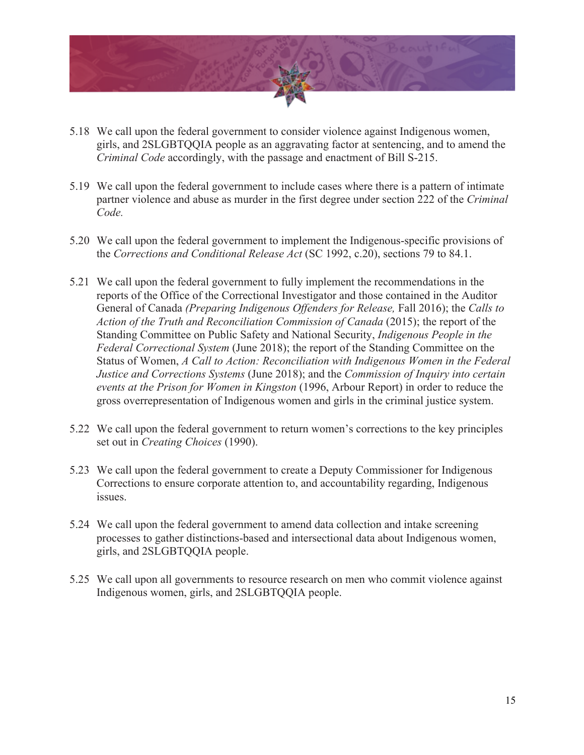

- 5.18 We call upon the federal government to consider violence against Indigenous women, girls, and 2SLGBTQQIA people as an aggravating factor at sentencing, and to amend the *Criminal Code* accordingly, with the passage and enactment of Bill S-215.
- 5.19 We call upon the federal government to include cases where there is a pattern of intimate partner violence and abuse as murder in the first degree under section 222 of the *Criminal Code.*
- 5.20 We call upon the federal government to implement the Indigenous-specific provisions of the *Corrections and Conditional Release Act* (SC 1992, c.20), sections 79 to 84.1.
- 5.21 We call upon the federal government to fully implement the recommendations in the reports of the Office of the Correctional Investigator and those contained in the Auditor General of Canada *(Preparing Indigenous Offenders for Release,* Fall 2016); the *Calls to Action of the Truth and Reconciliation Commission of Canada* (2015); the report of the Standing Committee on Public Safety and National Security, *Indigenous People in the Federal Correctional System* (June 2018); the report of the Standing Committee on the Status of Women, *A Call to Action: Reconciliation with Indigenous Women in the Federal Justice and Corrections Systems* (June 2018); and the *Commission of Inquiry into certain events at the Prison for Women in Kingston* (1996, Arbour Report) in order to reduce the gross overrepresentation of Indigenous women and girls in the criminal justice system.
- 5.22 We call upon the federal government to return women's corrections to the key principles set out in *Creating Choices* (1990).
- 5.23 We call upon the federal government to create a Deputy Commissioner for Indigenous Corrections to ensure corporate attention to, and accountability regarding, Indigenous issues.
- 5.24 We call upon the federal government to amend data collection and intake screening processes to gather distinctions-based and intersectional data about Indigenous women, girls, and 2SLGBTQQIA people.
- 5.25 We call upon all governments to resource research on men who commit violence against Indigenous women, girls, and 2SLGBTQQIA people.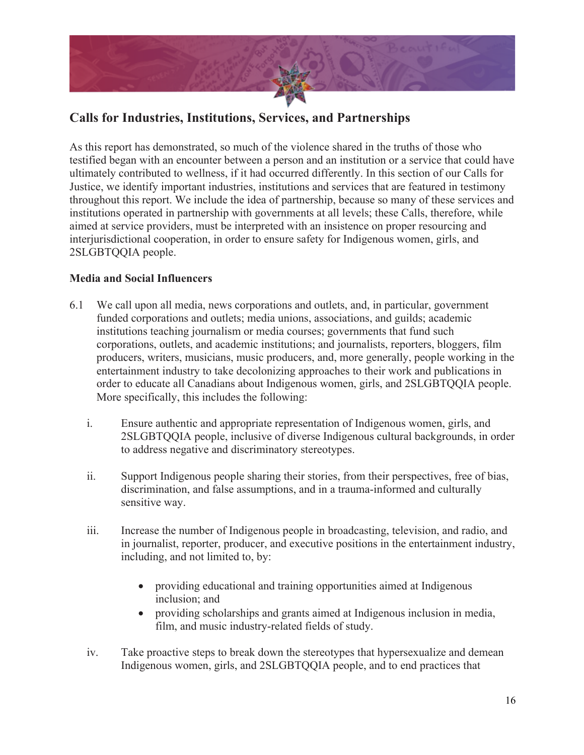

## **Calls for Industries, Institutions, Services, and Partnerships**

As this report has demonstrated, so much of the violence shared in the truths of those who testified began with an encounter between a person and an institution or a service that could have ultimately contributed to wellness, if it had occurred differently. In this section of our Calls for Justice, we identify important industries, institutions and services that are featured in testimony throughout this report. We include the idea of partnership, because so many of these services and institutions operated in partnership with governments at all levels; these Calls, therefore, while aimed at service providers, must be interpreted with an insistence on proper resourcing and interjurisdictional cooperation, in order to ensure safety for Indigenous women, girls, and 2SLGBTQQIA people.

#### **Media and Social Influencers**

- 6.1 We call upon all media, news corporations and outlets, and, in particular, government funded corporations and outlets; media unions, associations, and guilds; academic institutions teaching journalism or media courses; governments that fund such corporations, outlets, and academic institutions; and journalists, reporters, bloggers, film producers, writers, musicians, music producers, and, more generally, people working in the entertainment industry to take decolonizing approaches to their work and publications in order to educate all Canadians about Indigenous women, girls, and 2SLGBTQQIA people. More specifically, this includes the following:
	- i. Ensure authentic and appropriate representation of Indigenous women, girls, and 2SLGBTQQIA people, inclusive of diverse Indigenous cultural backgrounds, in order to address negative and discriminatory stereotypes.
	- ii. Support Indigenous people sharing their stories, from their perspectives, free of bias, discrimination, and false assumptions, and in a trauma-informed and culturally sensitive way.
	- iii. Increase the number of Indigenous people in broadcasting, television, and radio, and in journalist, reporter, producer, and executive positions in the entertainment industry, including, and not limited to, by:
		- providing educational and training opportunities aimed at Indigenous inclusion; and
		- providing scholarships and grants aimed at Indigenous inclusion in media, film, and music industry-related fields of study.
	- iv. Take proactive steps to break down the stereotypes that hypersexualize and demean Indigenous women, girls, and 2SLGBTQQIA people, and to end practices that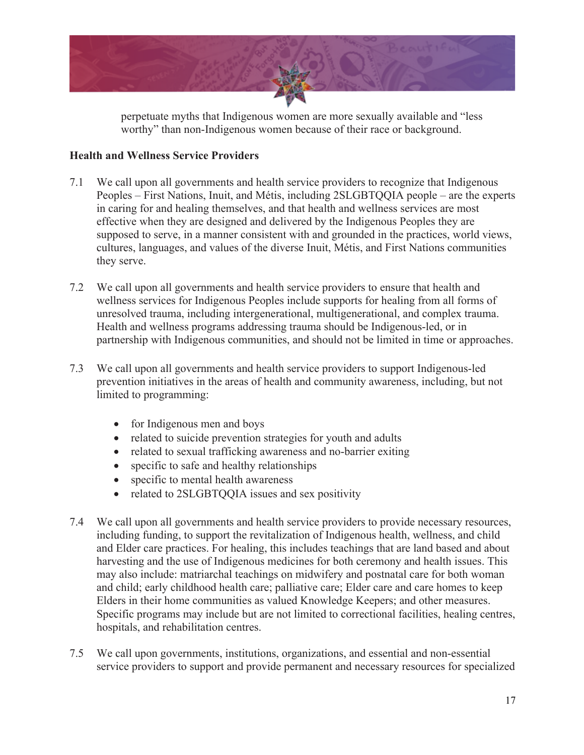

perpetuate myths that Indigenous women are more sexually available and "less worthy" than non-Indigenous women because of their race or background.

#### **Health and Wellness Service Providers**

- 7.1 We call upon all governments and health service providers to recognize that Indigenous Peoples – First Nations, Inuit, and Métis, including 2SLGBTQQIA people – are the experts in caring for and healing themselves, and that health and wellness services are most effective when they are designed and delivered by the Indigenous Peoples they are supposed to serve, in a manner consistent with and grounded in the practices, world views, cultures, languages, and values of the diverse Inuit, Métis, and First Nations communities they serve.
- 7.2 We call upon all governments and health service providers to ensure that health and wellness services for Indigenous Peoples include supports for healing from all forms of unresolved trauma, including intergenerational, multigenerational, and complex trauma. Health and wellness programs addressing trauma should be Indigenous-led, or in partnership with Indigenous communities, and should not be limited in time or approaches.
- 7.3 We call upon all governments and health service providers to support Indigenous-led prevention initiatives in the areas of health and community awareness, including, but not limited to programming:
	- for Indigenous men and boys
	- related to suicide prevention strategies for youth and adults
	- related to sexual trafficking awareness and no-barrier exiting
	- specific to safe and healthy relationships
	- specific to mental health awareness
	- related to 2SLGBTQQIA issues and sex positivity
- 7.4 We call upon all governments and health service providers to provide necessary resources, including funding, to support the revitalization of Indigenous health, wellness, and child and Elder care practices. For healing, this includes teachings that are land based and about harvesting and the use of Indigenous medicines for both ceremony and health issues. This may also include: matriarchal teachings on midwifery and postnatal care for both woman and child; early childhood health care; palliative care; Elder care and care homes to keep Elders in their home communities as valued Knowledge Keepers; and other measures. Specific programs may include but are not limited to correctional facilities, healing centres, hospitals, and rehabilitation centres.
- 7.5 We call upon governments, institutions, organizations, and essential and non-essential service providers to support and provide permanent and necessary resources for specialized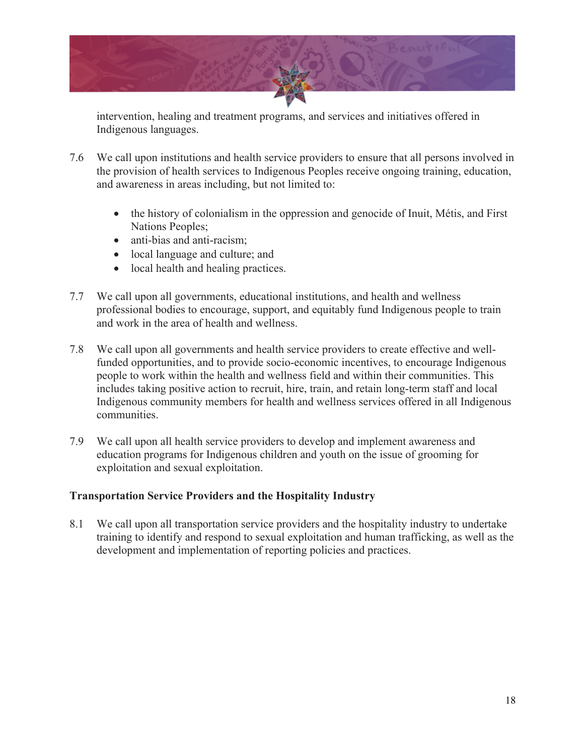

intervention, healing and treatment programs, and services and initiatives offered in Indigenous languages.

- 7.6 We call upon institutions and health service providers to ensure that all persons involved in the provision of health services to Indigenous Peoples receive ongoing training, education, and awareness in areas including, but not limited to:
	- the history of colonialism in the oppression and genocide of Inuit, Métis, and First Nations Peoples;
	- anti-bias and anti-racism:
	- local language and culture; and
	- local health and healing practices.
- 7.7 We call upon all governments, educational institutions, and health and wellness professional bodies to encourage, support, and equitably fund Indigenous people to train and work in the area of health and wellness.
- 7.8 We call upon all governments and health service providers to create effective and wellfunded opportunities, and to provide socio-economic incentives, to encourage Indigenous people to work within the health and wellness field and within their communities. This includes taking positive action to recruit, hire, train, and retain long-term staff and local Indigenous community members for health and wellness services offered in all Indigenous communities.
- 7.9 We call upon all health service providers to develop and implement awareness and education programs for Indigenous children and youth on the issue of grooming for exploitation and sexual exploitation.

#### **Transportation Service Providers and the Hospitality Industry**

8.1 We call upon all transportation service providers and the hospitality industry to undertake training to identify and respond to sexual exploitation and human trafficking, as well as the development and implementation of reporting policies and practices.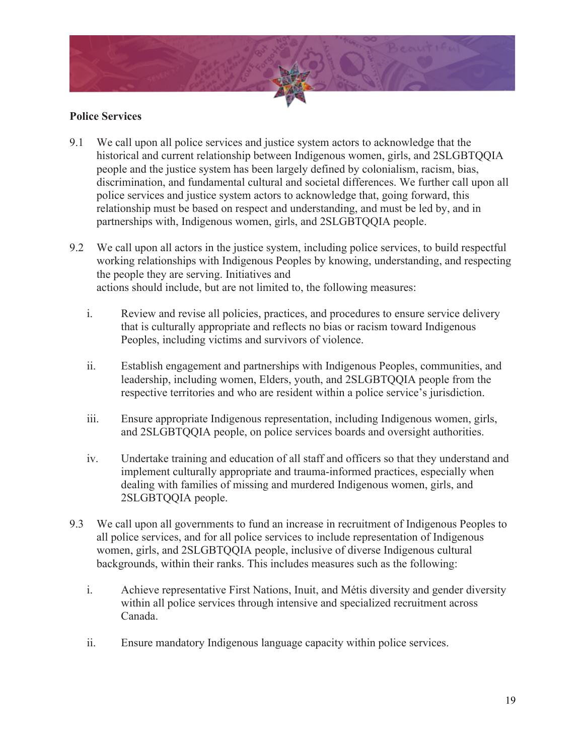

#### **Police Services**

- 9.1 We call upon all police services and justice system actors to acknowledge that the historical and current relationship between Indigenous women, girls, and 2SLGBTQQIA people and the justice system has been largely defined by colonialism, racism, bias, discrimination, and fundamental cultural and societal differences. We further call upon all police services and justice system actors to acknowledge that, going forward, this relationship must be based on respect and understanding, and must be led by, and in partnerships with, Indigenous women, girls, and 2SLGBTQQIA people.
- 9.2 We call upon all actors in the justice system, including police services, to build respectful working relationships with Indigenous Peoples by knowing, understanding, and respecting the people they are serving. Initiatives and actions should include, but are not limited to, the following measures:
	- i. Review and revise all policies, practices, and procedures to ensure service delivery that is culturally appropriate and reflects no bias or racism toward Indigenous Peoples, including victims and survivors of violence.
	- ii. Establish engagement and partnerships with Indigenous Peoples, communities, and leadership, including women, Elders, youth, and 2SLGBTQQIA people from the respective territories and who are resident within a police service's jurisdiction.
	- iii. Ensure appropriate Indigenous representation, including Indigenous women, girls, and 2SLGBTQQIA people, on police services boards and oversight authorities.
	- iv. Undertake training and education of all staff and officers so that they understand and implement culturally appropriate and trauma-informed practices, especially when dealing with families of missing and murdered Indigenous women, girls, and 2SLGBTQQIA people.
- 9.3 We call upon all governments to fund an increase in recruitment of Indigenous Peoples to all police services, and for all police services to include representation of Indigenous women, girls, and 2SLGBTQQIA people, inclusive of diverse Indigenous cultural backgrounds, within their ranks. This includes measures such as the following:
	- i. Achieve representative First Nations, Inuit, and Métis diversity and gender diversity within all police services through intensive and specialized recruitment across Canada.
	- ii. Ensure mandatory Indigenous language capacity within police services.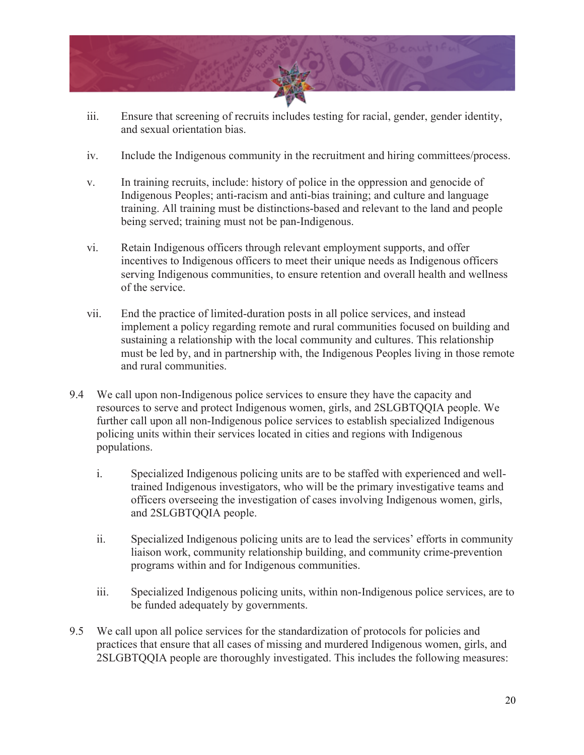

- iii. Ensure that screening of recruits includes testing for racial, gender, gender identity, and sexual orientation bias.
- iv. Include the Indigenous community in the recruitment and hiring committees/process.
- v. In training recruits, include: history of police in the oppression and genocide of Indigenous Peoples; anti-racism and anti-bias training; and culture and language training. All training must be distinctions-based and relevant to the land and people being served; training must not be pan-Indigenous.
- vi. Retain Indigenous officers through relevant employment supports, and offer incentives to Indigenous officers to meet their unique needs as Indigenous officers serving Indigenous communities, to ensure retention and overall health and wellness of the service.
- vii. End the practice of limited-duration posts in all police services, and instead implement a policy regarding remote and rural communities focused on building and sustaining a relationship with the local community and cultures. This relationship must be led by, and in partnership with, the Indigenous Peoples living in those remote and rural communities.
- 9.4 We call upon non-Indigenous police services to ensure they have the capacity and resources to serve and protect Indigenous women, girls, and 2SLGBTQQIA people. We further call upon all non-Indigenous police services to establish specialized Indigenous policing units within their services located in cities and regions with Indigenous populations.
	- i. Specialized Indigenous policing units are to be staffed with experienced and welltrained Indigenous investigators, who will be the primary investigative teams and officers overseeing the investigation of cases involving Indigenous women, girls, and 2SLGBTQQIA people.
	- ii. Specialized Indigenous policing units are to lead the services' efforts in community liaison work, community relationship building, and community crime-prevention programs within and for Indigenous communities.
	- iii. Specialized Indigenous policing units, within non-Indigenous police services, are to be funded adequately by governments.
- 9.5 We call upon all police services for the standardization of protocols for policies and practices that ensure that all cases of missing and murdered Indigenous women, girls, and 2SLGBTQQIA people are thoroughly investigated. This includes the following measures: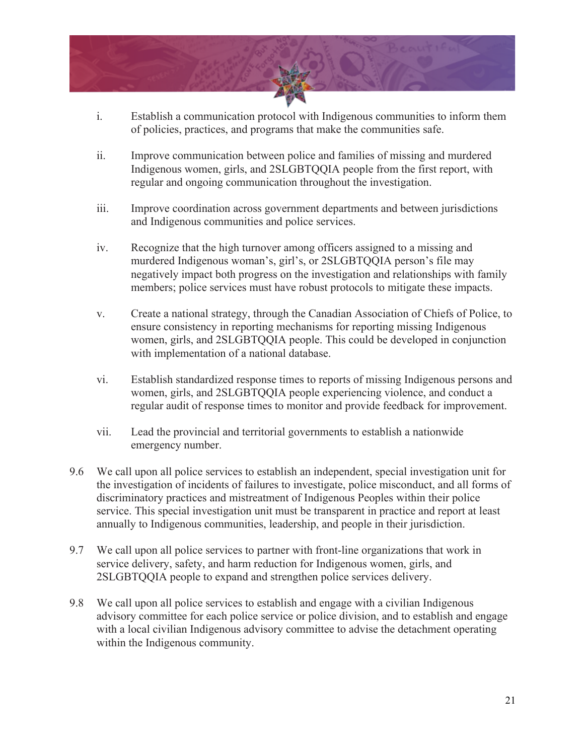

- i. Establish a communication protocol with Indigenous communities to inform them of policies, practices, and programs that make the communities safe.
- ii. Improve communication between police and families of missing and murdered Indigenous women, girls, and 2SLGBTQQIA people from the first report, with regular and ongoing communication throughout the investigation.
- iii. Improve coordination across government departments and between jurisdictions and Indigenous communities and police services.
- iv. Recognize that the high turnover among officers assigned to a missing and murdered Indigenous woman's, girl's, or 2SLGBTQQIA person's file may negatively impact both progress on the investigation and relationships with family members; police services must have robust protocols to mitigate these impacts.
- v. Create a national strategy, through the Canadian Association of Chiefs of Police, to ensure consistency in reporting mechanisms for reporting missing Indigenous women, girls, and 2SLGBTQQIA people. This could be developed in conjunction with implementation of a national database.
- vi. Establish standardized response times to reports of missing Indigenous persons and women, girls, and 2SLGBTQQIA people experiencing violence, and conduct a regular audit of response times to monitor and provide feedback for improvement.
- vii. Lead the provincial and territorial governments to establish a nationwide emergency number.
- 9.6 We call upon all police services to establish an independent, special investigation unit for the investigation of incidents of failures to investigate, police misconduct, and all forms of discriminatory practices and mistreatment of Indigenous Peoples within their police service. This special investigation unit must be transparent in practice and report at least annually to Indigenous communities, leadership, and people in their jurisdiction.
- 9.7 We call upon all police services to partner with front-line organizations that work in service delivery, safety, and harm reduction for Indigenous women, girls, and 2SLGBTQQIA people to expand and strengthen police services delivery.
- 9.8 We call upon all police services to establish and engage with a civilian Indigenous advisory committee for each police service or police division, and to establish and engage with a local civilian Indigenous advisory committee to advise the detachment operating within the Indigenous community.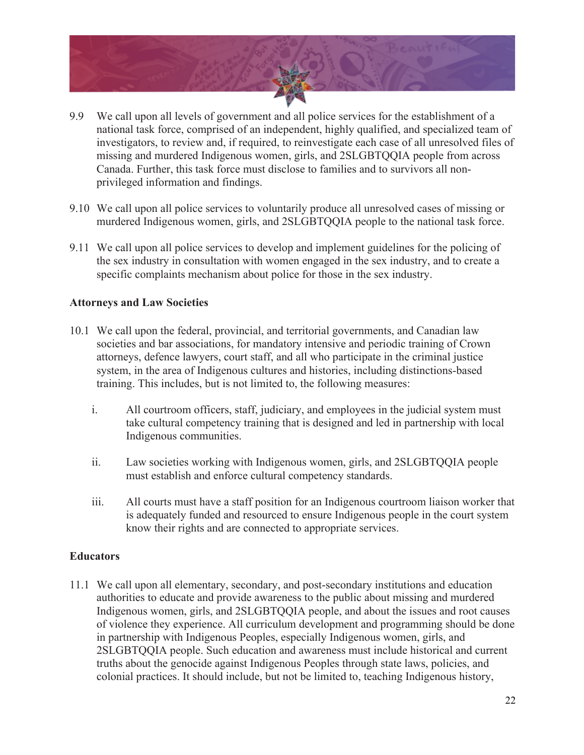

- 9.9 We call upon all levels of government and all police services for the establishment of a national task force, comprised of an independent, highly qualified, and specialized team of investigators, to review and, if required, to reinvestigate each case of all unresolved files of missing and murdered Indigenous women, girls, and 2SLGBTQQIA people from across Canada. Further, this task force must disclose to families and to survivors all nonprivileged information and findings.
- 9.10 We call upon all police services to voluntarily produce all unresolved cases of missing or murdered Indigenous women, girls, and 2SLGBTQQIA people to the national task force.
- 9.11 We call upon all police services to develop and implement guidelines for the policing of the sex industry in consultation with women engaged in the sex industry, and to create a specific complaints mechanism about police for those in the sex industry.

#### **Attorneys and Law Societies**

- 10.1 We call upon the federal, provincial, and territorial governments, and Canadian law societies and bar associations, for mandatory intensive and periodic training of Crown attorneys, defence lawyers, court staff, and all who participate in the criminal justice system, in the area of Indigenous cultures and histories, including distinctions-based training. This includes, but is not limited to, the following measures:
	- i. All courtroom officers, staff, judiciary, and employees in the judicial system must take cultural competency training that is designed and led in partnership with local Indigenous communities.
	- ii. Law societies working with Indigenous women, girls, and 2SLGBTQQIA people must establish and enforce cultural competency standards.
	- iii. All courts must have a staff position for an Indigenous courtroom liaison worker that is adequately funded and resourced to ensure Indigenous people in the court system know their rights and are connected to appropriate services.

#### **Educators**

11.1 We call upon all elementary, secondary, and post-secondary institutions and education authorities to educate and provide awareness to the public about missing and murdered Indigenous women, girls, and 2SLGBTQQIA people, and about the issues and root causes of violence they experience. All curriculum development and programming should be done in partnership with Indigenous Peoples, especially Indigenous women, girls, and 2SLGBTQQIA people. Such education and awareness must include historical and current truths about the genocide against Indigenous Peoples through state laws, policies, and colonial practices. It should include, but not be limited to, teaching Indigenous history,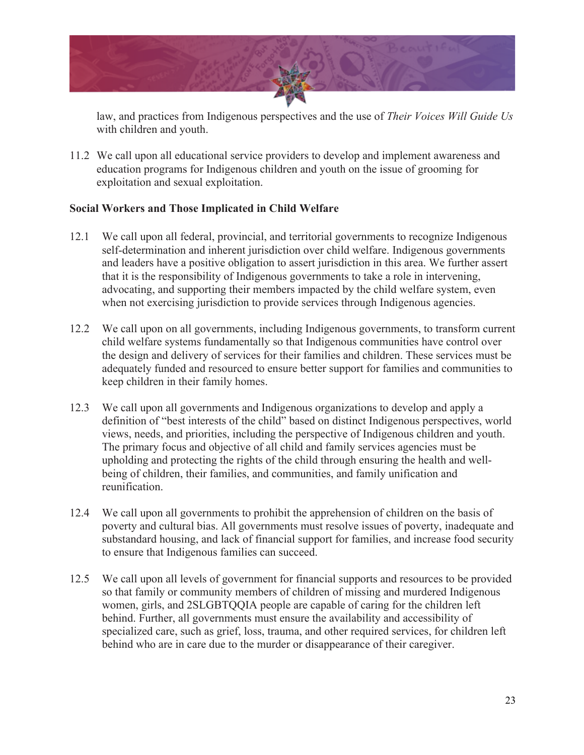

law, and practices from Indigenous perspectives and the use of *Their Voices Will Guide Us*  with children and youth.

11.2 We call upon all educational service providers to develop and implement awareness and education programs for Indigenous children and youth on the issue of grooming for exploitation and sexual exploitation.

#### **Social Workers and Those Implicated in Child Welfare**

- 12.1 We call upon all federal, provincial, and territorial governments to recognize Indigenous self-determination and inherent jurisdiction over child welfare. Indigenous governments and leaders have a positive obligation to assert jurisdiction in this area. We further assert that it is the responsibility of Indigenous governments to take a role in intervening, advocating, and supporting their members impacted by the child welfare system, even when not exercising jurisdiction to provide services through Indigenous agencies.
- 12.2 We call upon on all governments, including Indigenous governments, to transform current child welfare systems fundamentally so that Indigenous communities have control over the design and delivery of services for their families and children. These services must be adequately funded and resourced to ensure better support for families and communities to keep children in their family homes.
- 12.3 We call upon all governments and Indigenous organizations to develop and apply a definition of "best interests of the child" based on distinct Indigenous perspectives, world views, needs, and priorities, including the perspective of Indigenous children and youth. The primary focus and objective of all child and family services agencies must be upholding and protecting the rights of the child through ensuring the health and wellbeing of children, their families, and communities, and family unification and reunification.
- 12.4 We call upon all governments to prohibit the apprehension of children on the basis of poverty and cultural bias. All governments must resolve issues of poverty, inadequate and substandard housing, and lack of financial support for families, and increase food security to ensure that Indigenous families can succeed.
- 12.5 We call upon all levels of government for financial supports and resources to be provided so that family or community members of children of missing and murdered Indigenous women, girls, and 2SLGBTQQIA people are capable of caring for the children left behind. Further, all governments must ensure the availability and accessibility of specialized care, such as grief, loss, trauma, and other required services, for children left behind who are in care due to the murder or disappearance of their caregiver.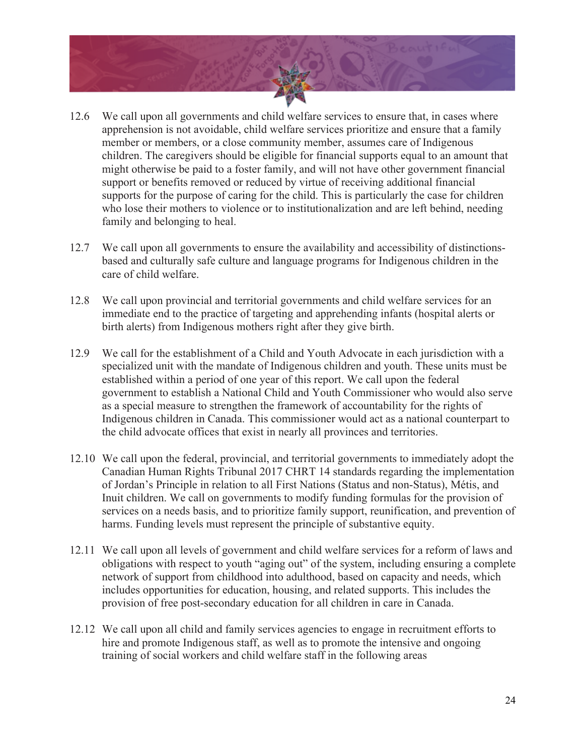

- 12.6 We call upon all governments and child welfare services to ensure that, in cases where apprehension is not avoidable, child welfare services prioritize and ensure that a family member or members, or a close community member, assumes care of Indigenous children. The caregivers should be eligible for financial supports equal to an amount that might otherwise be paid to a foster family, and will not have other government financial support or benefits removed or reduced by virtue of receiving additional financial supports for the purpose of caring for the child. This is particularly the case for children who lose their mothers to violence or to institutionalization and are left behind, needing family and belonging to heal.
- 12.7 We call upon all governments to ensure the availability and accessibility of distinctionsbased and culturally safe culture and language programs for Indigenous children in the care of child welfare.
- 12.8 We call upon provincial and territorial governments and child welfare services for an immediate end to the practice of targeting and apprehending infants (hospital alerts or birth alerts) from Indigenous mothers right after they give birth.
- 12.9 We call for the establishment of a Child and Youth Advocate in each jurisdiction with a specialized unit with the mandate of Indigenous children and youth. These units must be established within a period of one year of this report. We call upon the federal government to establish a National Child and Youth Commissioner who would also serve as a special measure to strengthen the framework of accountability for the rights of Indigenous children in Canada. This commissioner would act as a national counterpart to the child advocate offices that exist in nearly all provinces and territories.
- 12.10 We call upon the federal, provincial, and territorial governments to immediately adopt the Canadian Human Rights Tribunal 2017 CHRT 14 standards regarding the implementation of Jordan's Principle in relation to all First Nations (Status and non-Status), Métis, and Inuit children. We call on governments to modify funding formulas for the provision of services on a needs basis, and to prioritize family support, reunification, and prevention of harms. Funding levels must represent the principle of substantive equity.
- 12.11 We call upon all levels of government and child welfare services for a reform of laws and obligations with respect to youth "aging out" of the system, including ensuring a complete network of support from childhood into adulthood, based on capacity and needs, which includes opportunities for education, housing, and related supports. This includes the provision of free post-secondary education for all children in care in Canada.
- 12.12 We call upon all child and family services agencies to engage in recruitment efforts to hire and promote Indigenous staff, as well as to promote the intensive and ongoing training of social workers and child welfare staff in the following areas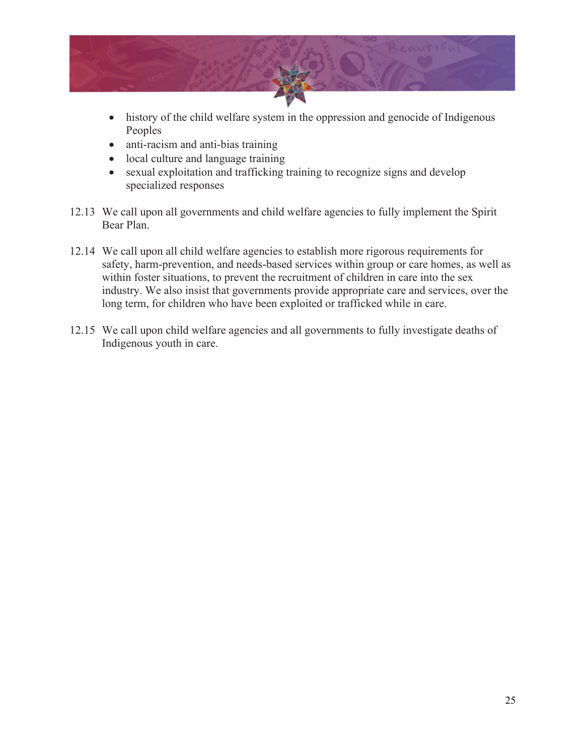

- history of the child welfare system in the oppression and genocide of Indigenous Peoples
- anti-racism and anti-bias training
- local culture and language training
- sexual exploitation and trafficking training to recognize signs and develop specialized responses
- 12.13 We call upon all governments and child welfare agencies to fully implement the Spirit Bear Plan.
- 12.14 We call upon all child welfare agencies to establish more rigorous requirements for safety, harm-prevention, and needs-based services within group or care homes, as well as within foster situations, to prevent the recruitment of children in care into the sex industry. We also insist that governments provide appropriate care and services, over the long term, for children who have been exploited or trafficked while in care.
- 12.15 We call upon child welfare agencies and all governments to fully investigate deaths of Indigenous youth in care.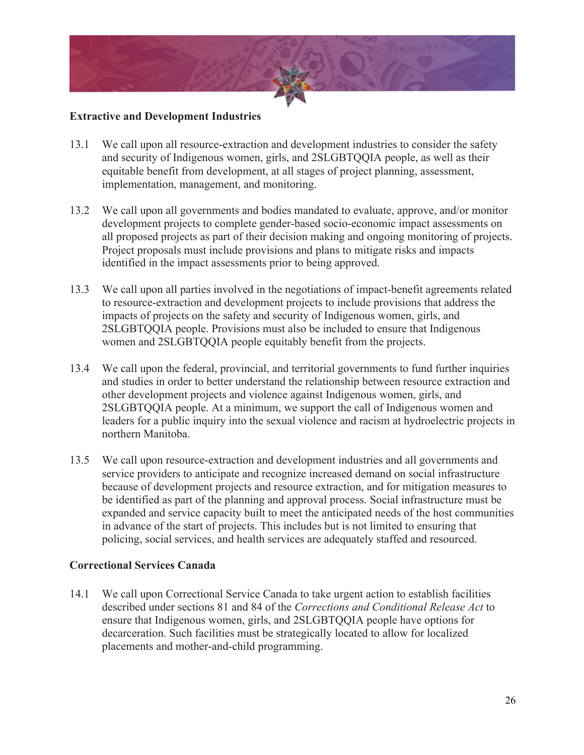

#### **Extractive and Development Industries**

- 13.1 We call upon all resource-extraction and development industries to consider the safety and security of Indigenous women, girls, and 2SLGBTQQIA people, as well as their equitable benefit from development, at all stages of project planning, assessment, implementation, management, and monitoring.
- 13.2 We call upon all governments and bodies mandated to evaluate, approve, and/or monitor development projects to complete gender-based socio-economic impact assessments on all proposed projects as part of their decision making and ongoing monitoring of projects. Project proposals must include provisions and plans to mitigate risks and impacts identified in the impact assessments prior to being approved.
- 13.3 We call upon all parties involved in the negotiations of impact-benefit agreements related to resource-extraction and development projects to include provisions that address the impacts of projects on the safety and security of Indigenous women, girls, and 2SLGBTQQIA people. Provisions must also be included to ensure that Indigenous women and 2SLGBTQQIA people equitably benefit from the projects.
- 13.4 We call upon the federal, provincial, and territorial governments to fund further inquiries and studies in order to better understand the relationship between resource extraction and other development projects and violence against Indigenous women, girls, and 2SLGBTQQIA people. At a minimum, we support the call of Indigenous women and leaders for a public inquiry into the sexual violence and racism at hydroelectric projects in northern Manitoba.
- 13.5 We call upon resource-extraction and development industries and all governments and service providers to anticipate and recognize increased demand on social infrastructure because of development projects and resource extraction, and for mitigation measures to be identified as part of the planning and approval process. Social infrastructure must be expanded and service capacity built to meet the anticipated needs of the host communities in advance of the start of projects. This includes but is not limited to ensuring that policing, social services, and health services are adequately staffed and resourced.

#### **Correctional Services Canada**

14.1 We call upon Correctional Service Canada to take urgent action to establish facilities described under sections 81 and 84 of the *Corrections and Conditional Release Act* to ensure that Indigenous women, girls, and 2SLGBTQQIA people have options for decarceration. Such facilities must be strategically located to allow for localized placements and mother-and-child programming.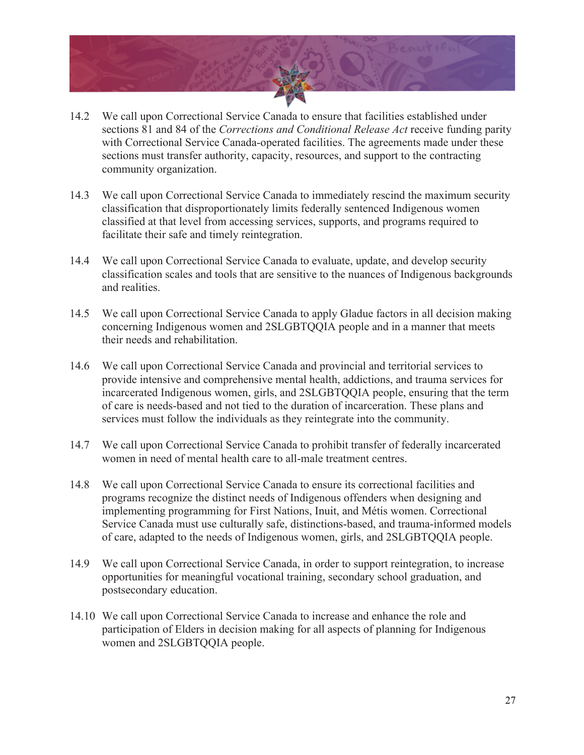

- 14.2 We call upon Correctional Service Canada to ensure that facilities established under sections 81 and 84 of the *Corrections and Conditional Release Act* receive funding parity with Correctional Service Canada-operated facilities. The agreements made under these sections must transfer authority, capacity, resources, and support to the contracting community organization.
- 14.3 We call upon Correctional Service Canada to immediately rescind the maximum security classification that disproportionately limits federally sentenced Indigenous women classified at that level from accessing services, supports, and programs required to facilitate their safe and timely reintegration.
- 14.4 We call upon Correctional Service Canada to evaluate, update, and develop security classification scales and tools that are sensitive to the nuances of Indigenous backgrounds and realities.
- 14.5 We call upon Correctional Service Canada to apply Gladue factors in all decision making concerning Indigenous women and 2SLGBTQQIA people and in a manner that meets their needs and rehabilitation.
- 14.6 We call upon Correctional Service Canada and provincial and territorial services to provide intensive and comprehensive mental health, addictions, and trauma services for incarcerated Indigenous women, girls, and 2SLGBTQQIA people, ensuring that the term of care is needs-based and not tied to the duration of incarceration. These plans and services must follow the individuals as they reintegrate into the community.
- 14.7 We call upon Correctional Service Canada to prohibit transfer of federally incarcerated women in need of mental health care to all-male treatment centres.
- 14.8 We call upon Correctional Service Canada to ensure its correctional facilities and programs recognize the distinct needs of Indigenous offenders when designing and implementing programming for First Nations, Inuit, and Métis women. Correctional Service Canada must use culturally safe, distinctions-based, and trauma-informed models of care, adapted to the needs of Indigenous women, girls, and 2SLGBTQQIA people.
- 14.9 We call upon Correctional Service Canada, in order to support reintegration, to increase opportunities for meaningful vocational training, secondary school graduation, and postsecondary education.
- 14.10 We call upon Correctional Service Canada to increase and enhance the role and participation of Elders in decision making for all aspects of planning for Indigenous women and 2SLGBTQQIA people.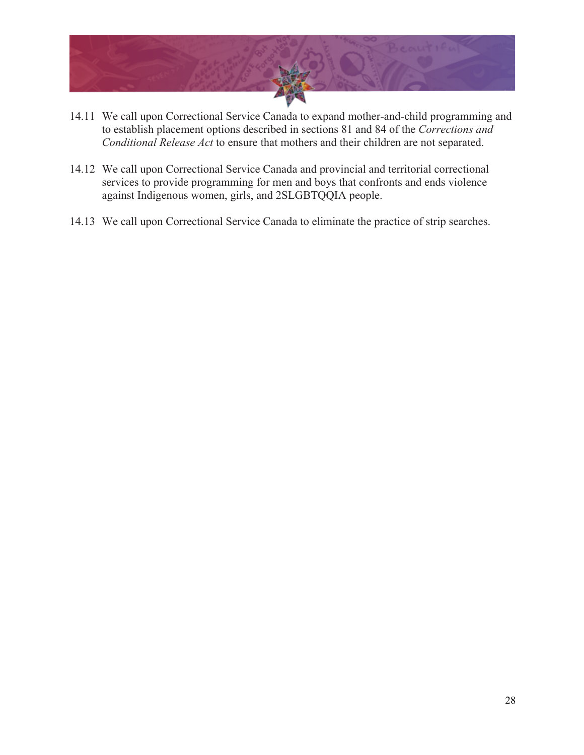

- 14.11 We call upon Correctional Service Canada to expand mother-and-child programming and to establish placement options described in sections 81 and 84 of the *Corrections and Conditional Release Act* to ensure that mothers and their children are not separated.
- 14.12 We call upon Correctional Service Canada and provincial and territorial correctional services to provide programming for men and boys that confronts and ends violence against Indigenous women, girls, and 2SLGBTQQIA people.
- 14.13 We call upon Correctional Service Canada to eliminate the practice of strip searches.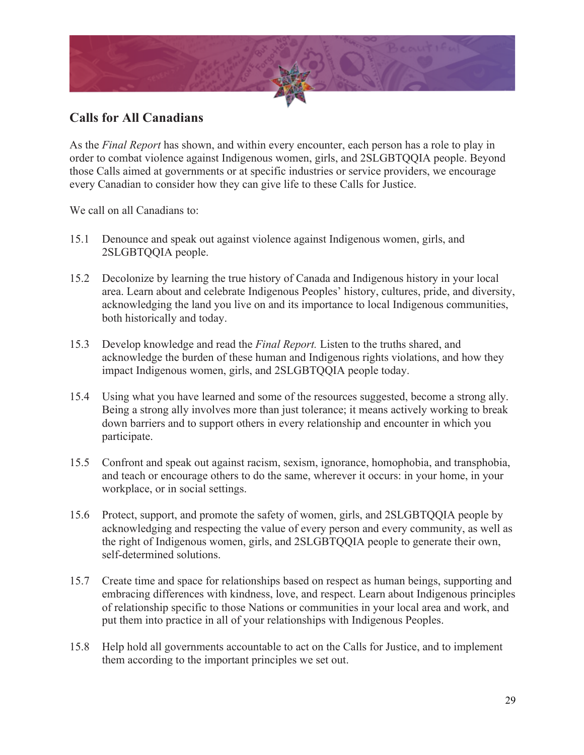

## **Calls for All Canadians**

As the *Final Report* has shown, and within every encounter, each person has a role to play in order to combat violence against Indigenous women, girls, and 2SLGBTQQIA people. Beyond those Calls aimed at governments or at specific industries or service providers, we encourage every Canadian to consider how they can give life to these Calls for Justice.

We call on all Canadians to:

- 15.1 Denounce and speak out against violence against Indigenous women, girls, and 2SLGBTQQIA people.
- 15.2 Decolonize by learning the true history of Canada and Indigenous history in your local area. Learn about and celebrate Indigenous Peoples' history, cultures, pride, and diversity, acknowledging the land you live on and its importance to local Indigenous communities, both historically and today.
- 15.3 Develop knowledge and read the *Final Report.* Listen to the truths shared, and acknowledge the burden of these human and Indigenous rights violations, and how they impact Indigenous women, girls, and 2SLGBTQQIA people today.
- 15.4 Using what you have learned and some of the resources suggested, become a strong ally. Being a strong ally involves more than just tolerance; it means actively working to break down barriers and to support others in every relationship and encounter in which you participate.
- 15.5 Confront and speak out against racism, sexism, ignorance, homophobia, and transphobia, and teach or encourage others to do the same, wherever it occurs: in your home, in your workplace, or in social settings.
- 15.6 Protect, support, and promote the safety of women, girls, and 2SLGBTQQIA people by acknowledging and respecting the value of every person and every community, as well as the right of Indigenous women, girls, and 2SLGBTQQIA people to generate their own, self-determined solutions.
- 15.7 Create time and space for relationships based on respect as human beings, supporting and embracing differences with kindness, love, and respect. Learn about Indigenous principles of relationship specific to those Nations or communities in your local area and work, and put them into practice in all of your relationships with Indigenous Peoples.
- 15.8 Help hold all governments accountable to act on the Calls for Justice, and to implement them according to the important principles we set out.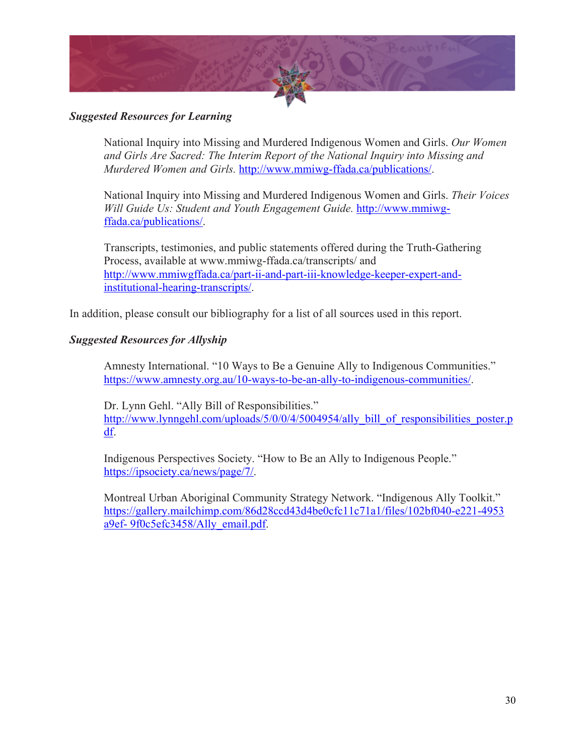

#### *Suggested Resources for Learning*

National Inquiry into Missing and Murdered Indigenous Women and Girls. *Our Women and Girls Are Sacred: The Interim Report of the National Inquiry into Missing and Murdered Women and Girls.* http://www.mmiwg-ffada.ca/publications/.

National Inquiry into Missing and Murdered Indigenous Women and Girls. *Their Voices Will Guide Us: Student and Youth Engagement Guide.* http://www.mmiwgffada.ca/publications/.

Transcripts, testimonies, and public statements offered during the Truth-Gathering Process, available at www.mmiwg-ffada.ca/transcripts/ and http://www.mmiwgffada.ca/part-ii-and-part-iii-knowledge-keeper-expert-andinstitutional-hearing-transcripts/.

In addition, please consult our bibliography for a list of all sources used in this report.

#### *Suggested Resources for Allyship*

Amnesty International. "10 Ways to Be a Genuine Ally to Indigenous Communities." https://www.amnesty.org.au/10-ways-to-be-an-ally-to-indigenous-communities/.

Dr. Lynn Gehl. "Ally Bill of Responsibilities." http://www.lynngehl.com/uploads/5/0/0/4/5004954/ally bill of responsibilities poster.p df.

Indigenous Perspectives Society. "How to Be an Ally to Indigenous People." https://ipsociety.ca/news/page/7/.

Montreal Urban Aboriginal Community Strategy Network. "Indigenous Ally Toolkit." https://gallery.mailchimp.com/86d28ccd43d4be0cfc11c71a1/files/102bf040-e221-4953 a9ef- 9f0c5efc3458/Ally\_email.pdf.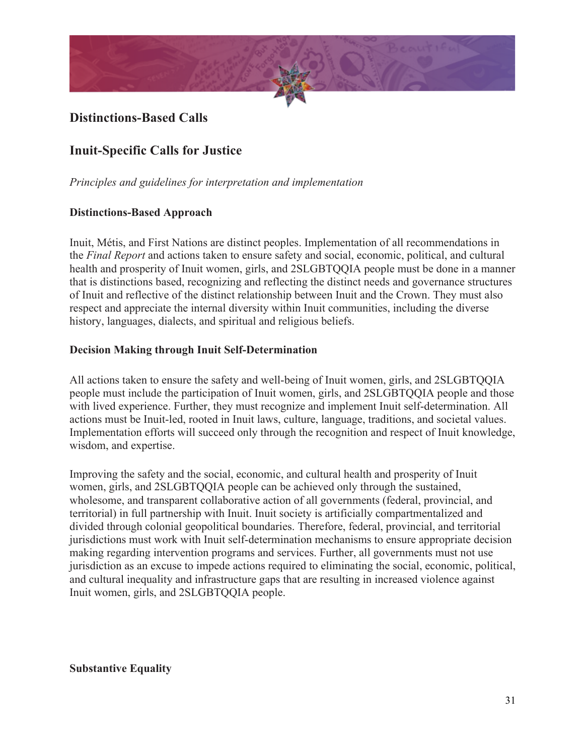

## **Distinctions-Based Calls**

## **Inuit-Specific Calls for Justice**

*Principles and guidelines for interpretation and implementation*

#### **Distinctions-Based Approach**

Inuit, Métis, and First Nations are distinct peoples. Implementation of all recommendations in the *Final Report* and actions taken to ensure safety and social, economic, political, and cultural health and prosperity of Inuit women, girls, and 2SLGBTOOIA people must be done in a manner that is distinctions based, recognizing and reflecting the distinct needs and governance structures of Inuit and reflective of the distinct relationship between Inuit and the Crown. They must also respect and appreciate the internal diversity within Inuit communities, including the diverse history, languages, dialects, and spiritual and religious beliefs.

#### **Decision Making through Inuit Self-Determination**

All actions taken to ensure the safety and well-being of Inuit women, girls, and 2SLGBTQQIA people must include the participation of Inuit women, girls, and 2SLGBTQQIA people and those with lived experience. Further, they must recognize and implement Inuit self-determination. All actions must be Inuit-led, rooted in Inuit laws, culture, language, traditions, and societal values. Implementation efforts will succeed only through the recognition and respect of Inuit knowledge, wisdom, and expertise.

Improving the safety and the social, economic, and cultural health and prosperity of Inuit women, girls, and 2SLGBTQQIA people can be achieved only through the sustained, wholesome, and transparent collaborative action of all governments (federal, provincial, and territorial) in full partnership with Inuit. Inuit society is artificially compartmentalized and divided through colonial geopolitical boundaries. Therefore, federal, provincial, and territorial jurisdictions must work with Inuit self-determination mechanisms to ensure appropriate decision making regarding intervention programs and services. Further, all governments must not use jurisdiction as an excuse to impede actions required to eliminating the social, economic, political, and cultural inequality and infrastructure gaps that are resulting in increased violence against Inuit women, girls, and 2SLGBTQQIA people.

#### **Substantive Equality**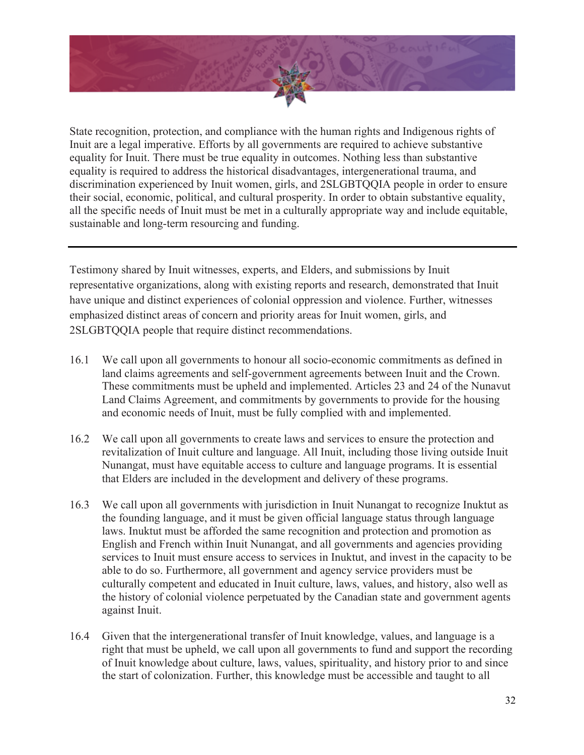

State recognition, protection, and compliance with the human rights and Indigenous rights of Inuit are a legal imperative. Efforts by all governments are required to achieve substantive equality for Inuit. There must be true equality in outcomes. Nothing less than substantive equality is required to address the historical disadvantages, intergenerational trauma, and discrimination experienced by Inuit women, girls, and 2SLGBTQQIA people in order to ensure their social, economic, political, and cultural prosperity. In order to obtain substantive equality, all the specific needs of Inuit must be met in a culturally appropriate way and include equitable, sustainable and long-term resourcing and funding.

Testimony shared by Inuit witnesses, experts, and Elders, and submissions by Inuit representative organizations, along with existing reports and research, demonstrated that Inuit have unique and distinct experiences of colonial oppression and violence. Further, witnesses emphasized distinct areas of concern and priority areas for Inuit women, girls, and 2SLGBTQQIA people that require distinct recommendations.

- 16.1 We call upon all governments to honour all socio-economic commitments as defined in land claims agreements and self-government agreements between Inuit and the Crown. These commitments must be upheld and implemented. Articles 23 and 24 of the Nunavut Land Claims Agreement, and commitments by governments to provide for the housing and economic needs of Inuit, must be fully complied with and implemented.
- 16.2 We call upon all governments to create laws and services to ensure the protection and revitalization of Inuit culture and language. All Inuit, including those living outside Inuit Nunangat, must have equitable access to culture and language programs. It is essential that Elders are included in the development and delivery of these programs.
- 16.3 We call upon all governments with jurisdiction in Inuit Nunangat to recognize Inuktut as the founding language, and it must be given official language status through language laws. Inuktut must be afforded the same recognition and protection and promotion as English and French within Inuit Nunangat, and all governments and agencies providing services to Inuit must ensure access to services in Inuktut, and invest in the capacity to be able to do so. Furthermore, all government and agency service providers must be culturally competent and educated in Inuit culture, laws, values, and history, also well as the history of colonial violence perpetuated by the Canadian state and government agents against Inuit.
- 16.4 Given that the intergenerational transfer of Inuit knowledge, values, and language is a right that must be upheld, we call upon all governments to fund and support the recording of Inuit knowledge about culture, laws, values, spirituality, and history prior to and since the start of colonization. Further, this knowledge must be accessible and taught to all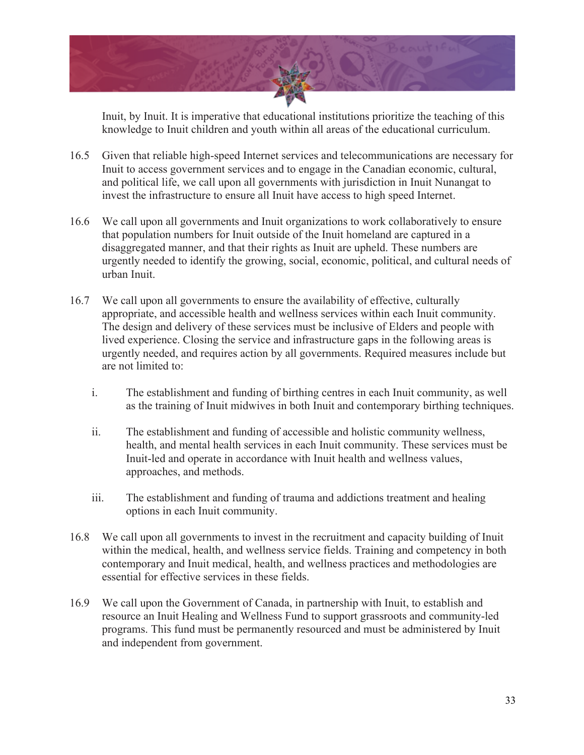

Inuit, by Inuit. It is imperative that educational institutions prioritize the teaching of this knowledge to Inuit children and youth within all areas of the educational curriculum.

- 16.5 Given that reliable high-speed Internet services and telecommunications are necessary for Inuit to access government services and to engage in the Canadian economic, cultural, and political life, we call upon all governments with jurisdiction in Inuit Nunangat to invest the infrastructure to ensure all Inuit have access to high speed Internet.
- 16.6 We call upon all governments and Inuit organizations to work collaboratively to ensure that population numbers for Inuit outside of the Inuit homeland are captured in a disaggregated manner, and that their rights as Inuit are upheld. These numbers are urgently needed to identify the growing, social, economic, political, and cultural needs of urban Inuit.
- 16.7 We call upon all governments to ensure the availability of effective, culturally appropriate, and accessible health and wellness services within each Inuit community. The design and delivery of these services must be inclusive of Elders and people with lived experience. Closing the service and infrastructure gaps in the following areas is urgently needed, and requires action by all governments. Required measures include but are not limited to:
	- i. The establishment and funding of birthing centres in each Inuit community, as well as the training of Inuit midwives in both Inuit and contemporary birthing techniques.
	- ii. The establishment and funding of accessible and holistic community wellness, health, and mental health services in each Inuit community. These services must be Inuit-led and operate in accordance with Inuit health and wellness values, approaches, and methods.
	- iii. The establishment and funding of trauma and addictions treatment and healing options in each Inuit community.
- 16.8 We call upon all governments to invest in the recruitment and capacity building of Inuit within the medical, health, and wellness service fields. Training and competency in both contemporary and Inuit medical, health, and wellness practices and methodologies are essential for effective services in these fields.
- 16.9 We call upon the Government of Canada, in partnership with Inuit, to establish and resource an Inuit Healing and Wellness Fund to support grassroots and community-led programs. This fund must be permanently resourced and must be administered by Inuit and independent from government.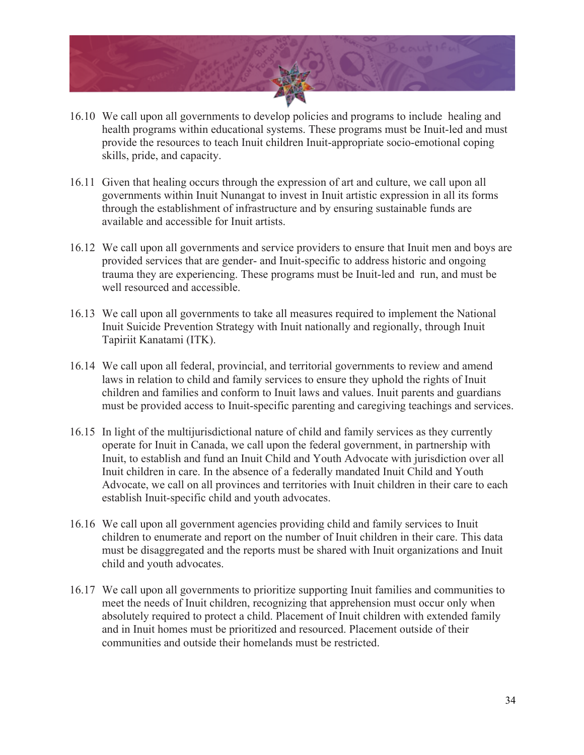

- 16.10 We call upon all governments to develop policies and programs to include healing and health programs within educational systems. These programs must be Inuit-led and must provide the resources to teach Inuit children Inuit-appropriate socio-emotional coping skills, pride, and capacity.
- 16.11 Given that healing occurs through the expression of art and culture, we call upon all governments within Inuit Nunangat to invest in Inuit artistic expression in all its forms through the establishment of infrastructure and by ensuring sustainable funds are available and accessible for Inuit artists.
- 16.12 We call upon all governments and service providers to ensure that Inuit men and boys are provided services that are gender- and Inuit-specific to address historic and ongoing trauma they are experiencing. These programs must be Inuit-led and run, and must be well resourced and accessible.
- 16.13 We call upon all governments to take all measures required to implement the National Inuit Suicide Prevention Strategy with Inuit nationally and regionally, through Inuit Tapiriit Kanatami (ITK).
- 16.14 We call upon all federal, provincial, and territorial governments to review and amend laws in relation to child and family services to ensure they uphold the rights of Inuit children and families and conform to Inuit laws and values. Inuit parents and guardians must be provided access to Inuit-specific parenting and caregiving teachings and services.
- 16.15 In light of the multijurisdictional nature of child and family services as they currently operate for Inuit in Canada, we call upon the federal government, in partnership with Inuit, to establish and fund an Inuit Child and Youth Advocate with jurisdiction over all Inuit children in care. In the absence of a federally mandated Inuit Child and Youth Advocate, we call on all provinces and territories with Inuit children in their care to each establish Inuit-specific child and youth advocates.
- 16.16 We call upon all government agencies providing child and family services to Inuit children to enumerate and report on the number of Inuit children in their care. This data must be disaggregated and the reports must be shared with Inuit organizations and Inuit child and youth advocates.
- 16.17 We call upon all governments to prioritize supporting Inuit families and communities to meet the needs of Inuit children, recognizing that apprehension must occur only when absolutely required to protect a child. Placement of Inuit children with extended family and in Inuit homes must be prioritized and resourced. Placement outside of their communities and outside their homelands must be restricted.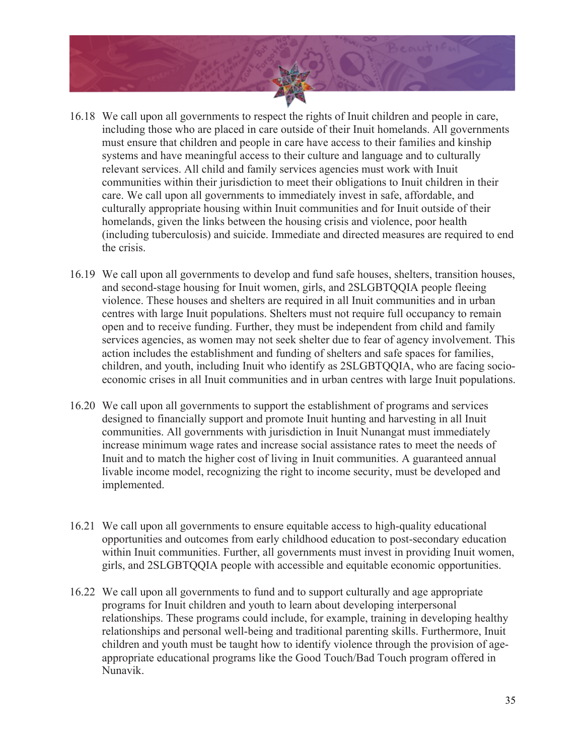

- 16.18 We call upon all governments to respect the rights of Inuit children and people in care, including those who are placed in care outside of their Inuit homelands. All governments must ensure that children and people in care have access to their families and kinship systems and have meaningful access to their culture and language and to culturally relevant services. All child and family services agencies must work with Inuit communities within their jurisdiction to meet their obligations to Inuit children in their care. We call upon all governments to immediately invest in safe, affordable, and culturally appropriate housing within Inuit communities and for Inuit outside of their homelands, given the links between the housing crisis and violence, poor health (including tuberculosis) and suicide. Immediate and directed measures are required to end the crisis.
- 16.19 We call upon all governments to develop and fund safe houses, shelters, transition houses, and second-stage housing for Inuit women, girls, and 2SLGBTQQIA people fleeing violence. These houses and shelters are required in all Inuit communities and in urban centres with large Inuit populations. Shelters must not require full occupancy to remain open and to receive funding. Further, they must be independent from child and family services agencies, as women may not seek shelter due to fear of agency involvement. This action includes the establishment and funding of shelters and safe spaces for families, children, and youth, including Inuit who identify as 2SLGBTQQIA, who are facing socioeconomic crises in all Inuit communities and in urban centres with large Inuit populations.
- 16.20 We call upon all governments to support the establishment of programs and services designed to financially support and promote Inuit hunting and harvesting in all Inuit communities. All governments with jurisdiction in Inuit Nunangat must immediately increase minimum wage rates and increase social assistance rates to meet the needs of Inuit and to match the higher cost of living in Inuit communities. A guaranteed annual livable income model, recognizing the right to income security, must be developed and implemented.
- 16.21 We call upon all governments to ensure equitable access to high-quality educational opportunities and outcomes from early childhood education to post-secondary education within Inuit communities. Further, all governments must invest in providing Inuit women, girls, and 2SLGBTQQIA people with accessible and equitable economic opportunities.
- 16.22 We call upon all governments to fund and to support culturally and age appropriate programs for Inuit children and youth to learn about developing interpersonal relationships. These programs could include, for example, training in developing healthy relationships and personal well-being and traditional parenting skills. Furthermore, Inuit children and youth must be taught how to identify violence through the provision of ageappropriate educational programs like the Good Touch/Bad Touch program offered in Nunavik.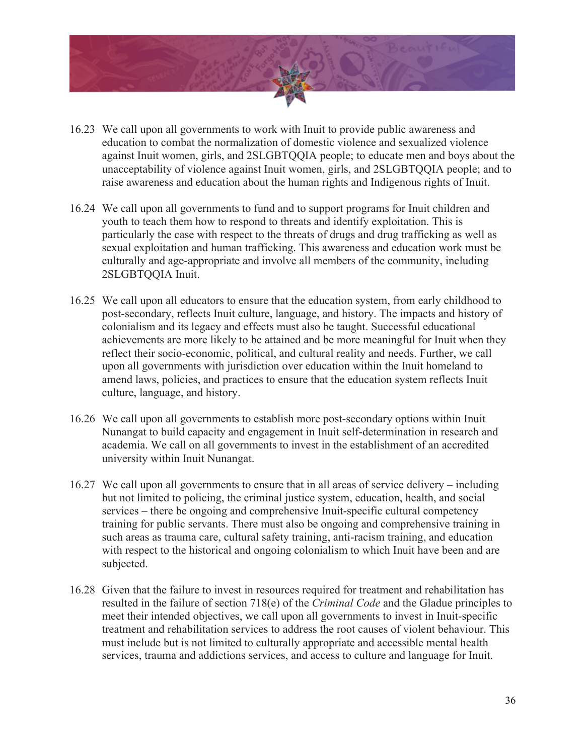

- 16.23 We call upon all governments to work with Inuit to provide public awareness and education to combat the normalization of domestic violence and sexualized violence against Inuit women, girls, and 2SLGBTQQIA people; to educate men and boys about the unacceptability of violence against Inuit women, girls, and 2SLGBTQQIA people; and to raise awareness and education about the human rights and Indigenous rights of Inuit.
- 16.24 We call upon all governments to fund and to support programs for Inuit children and youth to teach them how to respond to threats and identify exploitation. This is particularly the case with respect to the threats of drugs and drug trafficking as well as sexual exploitation and human trafficking. This awareness and education work must be culturally and age-appropriate and involve all members of the community, including 2SLGBTQQIA Inuit.
- 16.25 We call upon all educators to ensure that the education system, from early childhood to post-secondary, reflects Inuit culture, language, and history. The impacts and history of colonialism and its legacy and effects must also be taught. Successful educational achievements are more likely to be attained and be more meaningful for Inuit when they reflect their socio-economic, political, and cultural reality and needs. Further, we call upon all governments with jurisdiction over education within the Inuit homeland to amend laws, policies, and practices to ensure that the education system reflects Inuit culture, language, and history.
- 16.26 We call upon all governments to establish more post-secondary options within Inuit Nunangat to build capacity and engagement in Inuit self-determination in research and academia. We call on all governments to invest in the establishment of an accredited university within Inuit Nunangat.
- 16.27 We call upon all governments to ensure that in all areas of service delivery including but not limited to policing, the criminal justice system, education, health, and social services – there be ongoing and comprehensive Inuit-specific cultural competency training for public servants. There must also be ongoing and comprehensive training in such areas as trauma care, cultural safety training, anti-racism training, and education with respect to the historical and ongoing colonialism to which Inuit have been and are subjected.
- 16.28 Given that the failure to invest in resources required for treatment and rehabilitation has resulted in the failure of section 718(e) of the *Criminal Code* and the Gladue principles to meet their intended objectives, we call upon all governments to invest in Inuit-specific treatment and rehabilitation services to address the root causes of violent behaviour. This must include but is not limited to culturally appropriate and accessible mental health services, trauma and addictions services, and access to culture and language for Inuit.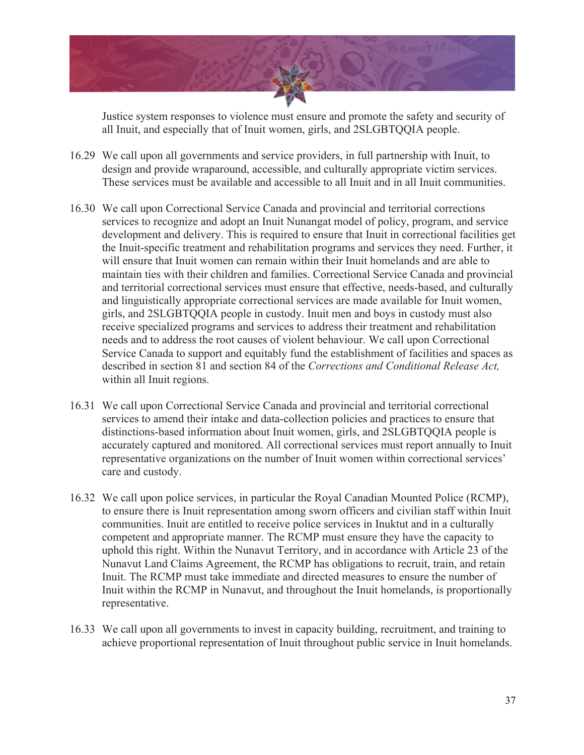

Justice system responses to violence must ensure and promote the safety and security of all Inuit, and especially that of Inuit women, girls, and 2SLGBTQQIA people.

- 16.29 We call upon all governments and service providers, in full partnership with Inuit, to design and provide wraparound, accessible, and culturally appropriate victim services. These services must be available and accessible to all Inuit and in all Inuit communities.
- 16.30 We call upon Correctional Service Canada and provincial and territorial corrections services to recognize and adopt an Inuit Nunangat model of policy, program, and service development and delivery. This is required to ensure that Inuit in correctional facilities get the Inuit-specific treatment and rehabilitation programs and services they need. Further, it will ensure that Inuit women can remain within their Inuit homelands and are able to maintain ties with their children and families. Correctional Service Canada and provincial and territorial correctional services must ensure that effective, needs-based, and culturally and linguistically appropriate correctional services are made available for Inuit women, girls, and 2SLGBTQQIA people in custody. Inuit men and boys in custody must also receive specialized programs and services to address their treatment and rehabilitation needs and to address the root causes of violent behaviour. We call upon Correctional Service Canada to support and equitably fund the establishment of facilities and spaces as described in section 81 and section 84 of the *Corrections and Conditional Release Act,*  within all Inuit regions.
- 16.31 We call upon Correctional Service Canada and provincial and territorial correctional services to amend their intake and data-collection policies and practices to ensure that distinctions-based information about Inuit women, girls, and 2SLGBTQQIA people is accurately captured and monitored. All correctional services must report annually to Inuit representative organizations on the number of Inuit women within correctional services' care and custody.
- 16.32 We call upon police services, in particular the Royal Canadian Mounted Police (RCMP), to ensure there is Inuit representation among sworn officers and civilian staff within Inuit communities. Inuit are entitled to receive police services in Inuktut and in a culturally competent and appropriate manner. The RCMP must ensure they have the capacity to uphold this right. Within the Nunavut Territory, and in accordance with Article 23 of the Nunavut Land Claims Agreement, the RCMP has obligations to recruit, train, and retain Inuit. The RCMP must take immediate and directed measures to ensure the number of Inuit within the RCMP in Nunavut, and throughout the Inuit homelands, is proportionally representative.
- 16.33 We call upon all governments to invest in capacity building, recruitment, and training to achieve proportional representation of Inuit throughout public service in Inuit homelands.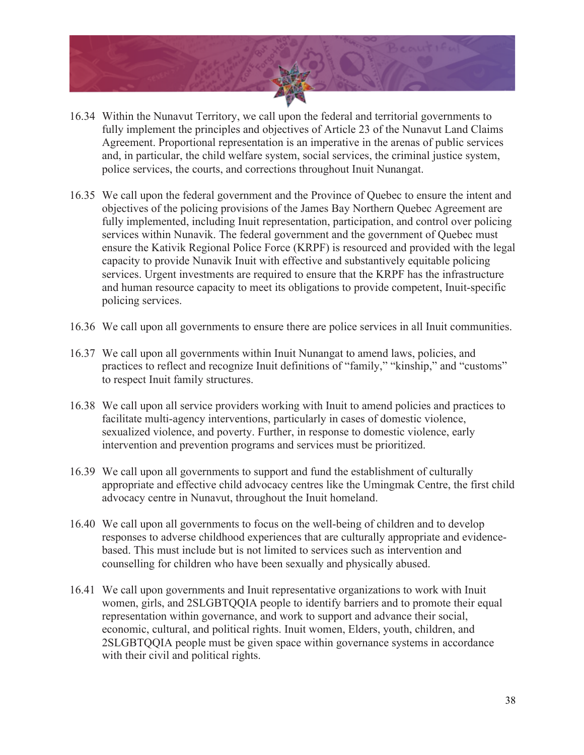

- 16.34 Within the Nunavut Territory, we call upon the federal and territorial governments to fully implement the principles and objectives of Article 23 of the Nunavut Land Claims Agreement. Proportional representation is an imperative in the arenas of public services and, in particular, the child welfare system, social services, the criminal justice system, police services, the courts, and corrections throughout Inuit Nunangat.
- 16.35 We call upon the federal government and the Province of Quebec to ensure the intent and objectives of the policing provisions of the James Bay Northern Quebec Agreement are fully implemented, including Inuit representation, participation, and control over policing services within Nunavik. The federal government and the government of Quebec must ensure the Kativik Regional Police Force (KRPF) is resourced and provided with the legal capacity to provide Nunavik Inuit with effective and substantively equitable policing services. Urgent investments are required to ensure that the KRPF has the infrastructure and human resource capacity to meet its obligations to provide competent, Inuit-specific policing services.
- 16.36 We call upon all governments to ensure there are police services in all Inuit communities.
- 16.37 We call upon all governments within Inuit Nunangat to amend laws, policies, and practices to reflect and recognize Inuit definitions of "family," "kinship," and "customs" to respect Inuit family structures.
- 16.38 We call upon all service providers working with Inuit to amend policies and practices to facilitate multi-agency interventions, particularly in cases of domestic violence, sexualized violence, and poverty. Further, in response to domestic violence, early intervention and prevention programs and services must be prioritized.
- 16.39 We call upon all governments to support and fund the establishment of culturally appropriate and effective child advocacy centres like the Umingmak Centre, the first child advocacy centre in Nunavut, throughout the Inuit homeland.
- 16.40 We call upon all governments to focus on the well-being of children and to develop responses to adverse childhood experiences that are culturally appropriate and evidencebased. This must include but is not limited to services such as intervention and counselling for children who have been sexually and physically abused.
- 16.41 We call upon governments and Inuit representative organizations to work with Inuit women, girls, and 2SLGBTQQIA people to identify barriers and to promote their equal representation within governance, and work to support and advance their social, economic, cultural, and political rights. Inuit women, Elders, youth, children, and 2SLGBTQQIA people must be given space within governance systems in accordance with their civil and political rights.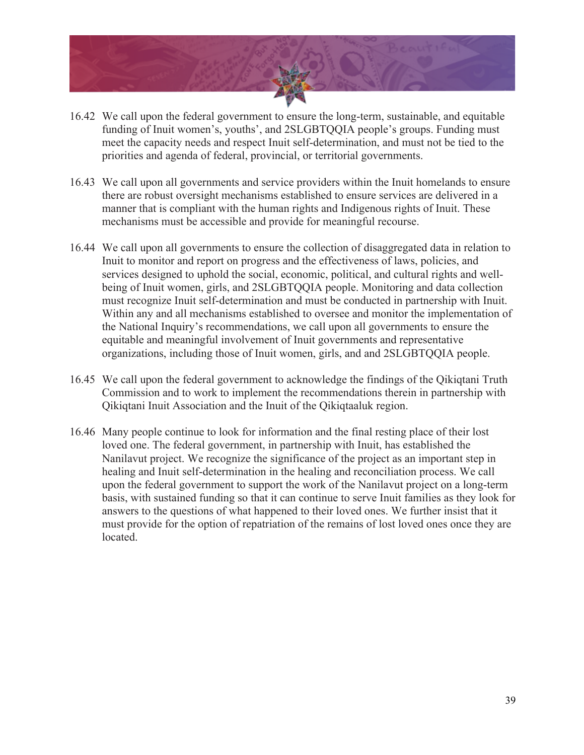

- 16.42 We call upon the federal government to ensure the long-term, sustainable, and equitable funding of Inuit women's, youths', and 2SLGBTQQIA people's groups. Funding must meet the capacity needs and respect Inuit self-determination, and must not be tied to the priorities and agenda of federal, provincial, or territorial governments.
- 16.43 We call upon all governments and service providers within the Inuit homelands to ensure there are robust oversight mechanisms established to ensure services are delivered in a manner that is compliant with the human rights and Indigenous rights of Inuit. These mechanisms must be accessible and provide for meaningful recourse.
- 16.44 We call upon all governments to ensure the collection of disaggregated data in relation to Inuit to monitor and report on progress and the effectiveness of laws, policies, and services designed to uphold the social, economic, political, and cultural rights and wellbeing of Inuit women, girls, and 2SLGBTQQIA people. Monitoring and data collection must recognize Inuit self-determination and must be conducted in partnership with Inuit. Within any and all mechanisms established to oversee and monitor the implementation of the National Inquiry's recommendations, we call upon all governments to ensure the equitable and meaningful involvement of Inuit governments and representative organizations, including those of Inuit women, girls, and and 2SLGBTQQIA people.
- 16.45 We call upon the federal government to acknowledge the findings of the Qikiqtani Truth Commission and to work to implement the recommendations therein in partnership with Qikiqtani Inuit Association and the Inuit of the Qikiqtaaluk region.
- 16.46 Many people continue to look for information and the final resting place of their lost loved one. The federal government, in partnership with Inuit, has established the Nanilavut project. We recognize the significance of the project as an important step in healing and Inuit self-determination in the healing and reconciliation process. We call upon the federal government to support the work of the Nanilavut project on a long-term basis, with sustained funding so that it can continue to serve Inuit families as they look for answers to the questions of what happened to their loved ones. We further insist that it must provide for the option of repatriation of the remains of lost loved ones once they are located.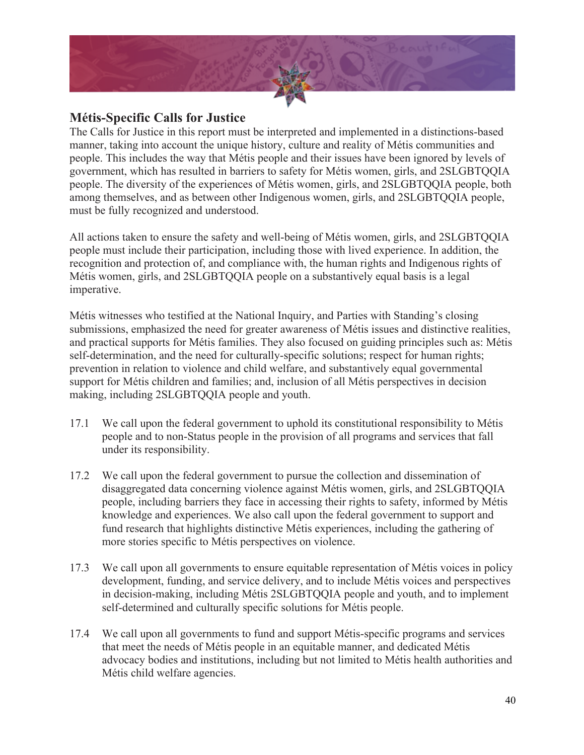

### **Métis-Specific Calls for Justice**

The Calls for Justice in this report must be interpreted and implemented in a distinctions-based manner, taking into account the unique history, culture and reality of Métis communities and people. This includes the way that Métis people and their issues have been ignored by levels of government, which has resulted in barriers to safety for Métis women, girls, and 2SLGBTQQIA people. The diversity of the experiences of Métis women, girls, and 2SLGBTQQIA people, both among themselves, and as between other Indigenous women, girls, and 2SLGBTQQIA people, must be fully recognized and understood.

All actions taken to ensure the safety and well-being of Métis women, girls, and 2SLGBTQQIA people must include their participation, including those with lived experience. In addition, the recognition and protection of, and compliance with, the human rights and Indigenous rights of Métis women, girls, and 2SLGBTQQIA people on a substantively equal basis is a legal imperative.

Métis witnesses who testified at the National Inquiry, and Parties with Standing's closing submissions, emphasized the need for greater awareness of Métis issues and distinctive realities, and practical supports for Métis families. They also focused on guiding principles such as: Métis self-determination, and the need for culturally-specific solutions; respect for human rights; prevention in relation to violence and child welfare, and substantively equal governmental support for Métis children and families; and, inclusion of all Métis perspectives in decision making, including 2SLGBTQQIA people and youth.

- 17.1 We call upon the federal government to uphold its constitutional responsibility to Métis people and to non-Status people in the provision of all programs and services that fall under its responsibility.
- 17.2 We call upon the federal government to pursue the collection and dissemination of disaggregated data concerning violence against Métis women, girls, and 2SLGBTQQIA people, including barriers they face in accessing their rights to safety, informed by Métis knowledge and experiences. We also call upon the federal government to support and fund research that highlights distinctive Métis experiences, including the gathering of more stories specific to Métis perspectives on violence.
- 17.3 We call upon all governments to ensure equitable representation of Métis voices in policy development, funding, and service delivery, and to include Métis voices and perspectives in decision-making, including Métis 2SLGBTQQIA people and youth, and to implement self-determined and culturally specific solutions for Métis people.
- 17.4 We call upon all governments to fund and support Métis-specific programs and services that meet the needs of Métis people in an equitable manner, and dedicated Métis advocacy bodies and institutions, including but not limited to Métis health authorities and Métis child welfare agencies.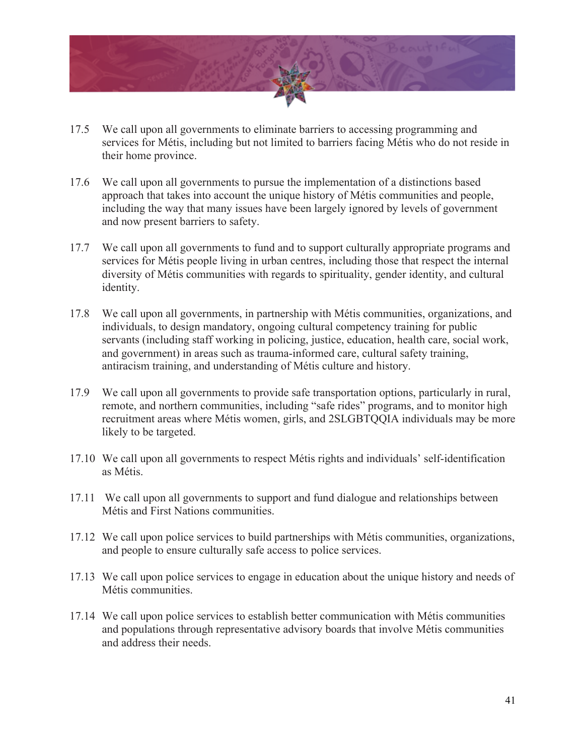

- 17.5 We call upon all governments to eliminate barriers to accessing programming and services for Métis, including but not limited to barriers facing Métis who do not reside in their home province.
- 17.6 We call upon all governments to pursue the implementation of a distinctions based approach that takes into account the unique history of Métis communities and people, including the way that many issues have been largely ignored by levels of government and now present barriers to safety.
- 17.7 We call upon all governments to fund and to support culturally appropriate programs and services for Métis people living in urban centres, including those that respect the internal diversity of Métis communities with regards to spirituality, gender identity, and cultural identity.
- 17.8 We call upon all governments, in partnership with Métis communities, organizations, and individuals, to design mandatory, ongoing cultural competency training for public servants (including staff working in policing, justice, education, health care, social work, and government) in areas such as trauma-informed care, cultural safety training, antiracism training, and understanding of Métis culture and history.
- 17.9 We call upon all governments to provide safe transportation options, particularly in rural, remote, and northern communities, including "safe rides" programs, and to monitor high recruitment areas where Métis women, girls, and 2SLGBTQQIA individuals may be more likely to be targeted.
- 17.10 We call upon all governments to respect Métis rights and individuals' self-identification as Métis.
- 17.11 We call upon all governments to support and fund dialogue and relationships between Métis and First Nations communities.
- 17.12 We call upon police services to build partnerships with Métis communities, organizations, and people to ensure culturally safe access to police services.
- 17.13 We call upon police services to engage in education about the unique history and needs of Métis communities.
- 17.14 We call upon police services to establish better communication with Métis communities and populations through representative advisory boards that involve Métis communities and address their needs.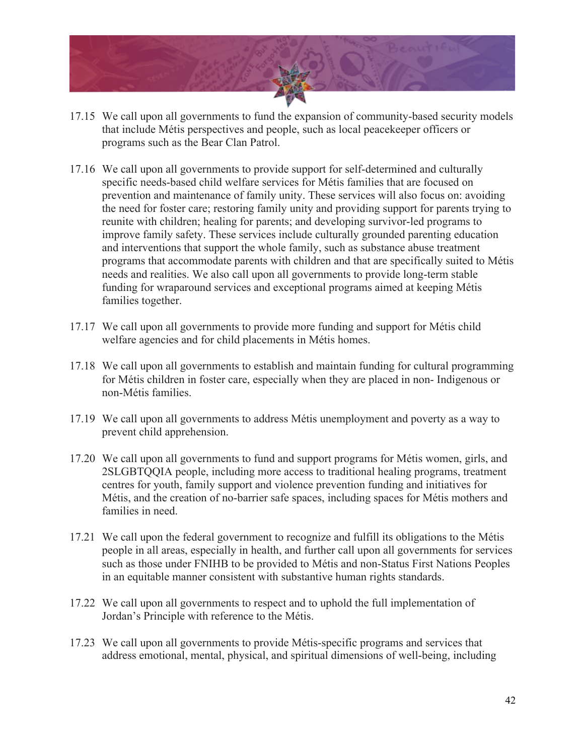

- 17.15 We call upon all governments to fund the expansion of community-based security models that include Métis perspectives and people, such as local peacekeeper officers or programs such as the Bear Clan Patrol.
- 17.16 We call upon all governments to provide support for self-determined and culturally specific needs-based child welfare services for Métis families that are focused on prevention and maintenance of family unity. These services will also focus on: avoiding the need for foster care; restoring family unity and providing support for parents trying to reunite with children; healing for parents; and developing survivor-led programs to improve family safety. These services include culturally grounded parenting education and interventions that support the whole family, such as substance abuse treatment programs that accommodate parents with children and that are specifically suited to Métis needs and realities. We also call upon all governments to provide long-term stable funding for wraparound services and exceptional programs aimed at keeping Métis families together.
- 17.17 We call upon all governments to provide more funding and support for Métis child welfare agencies and for child placements in Métis homes.
- 17.18 We call upon all governments to establish and maintain funding for cultural programming for Métis children in foster care, especially when they are placed in non- Indigenous or non-Métis families.
- 17.19 We call upon all governments to address Métis unemployment and poverty as a way to prevent child apprehension.
- 17.20 We call upon all governments to fund and support programs for Métis women, girls, and 2SLGBTQQIA people, including more access to traditional healing programs, treatment centres for youth, family support and violence prevention funding and initiatives for Métis, and the creation of no-barrier safe spaces, including spaces for Métis mothers and families in need.
- 17.21 We call upon the federal government to recognize and fulfill its obligations to the Métis people in all areas, especially in health, and further call upon all governments for services such as those under FNIHB to be provided to Métis and non-Status First Nations Peoples in an equitable manner consistent with substantive human rights standards.
- 17.22 We call upon all governments to respect and to uphold the full implementation of Jordan's Principle with reference to the Métis.
- 17.23 We call upon all governments to provide Métis-specific programs and services that address emotional, mental, physical, and spiritual dimensions of well-being, including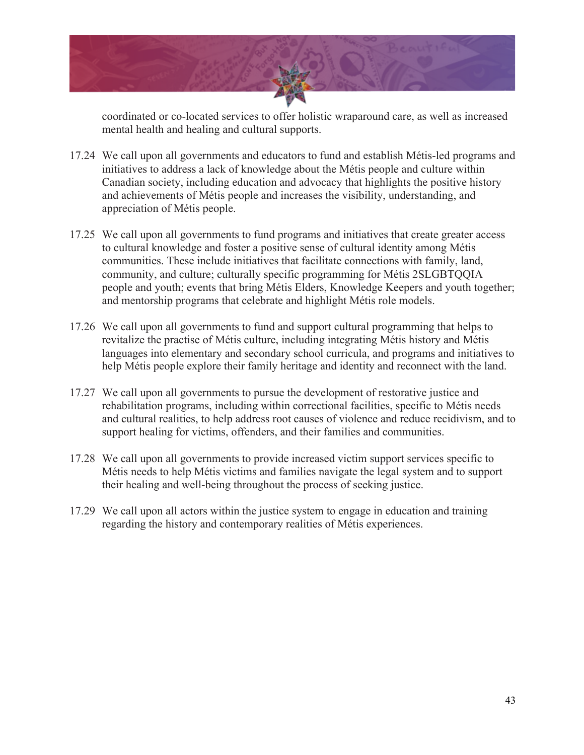

coordinated or co-located services to offer holistic wraparound care, as well as increased mental health and healing and cultural supports.

- 17.24 We call upon all governments and educators to fund and establish Métis-led programs and initiatives to address a lack of knowledge about the Métis people and culture within Canadian society, including education and advocacy that highlights the positive history and achievements of Métis people and increases the visibility, understanding, and appreciation of Métis people.
- 17.25 We call upon all governments to fund programs and initiatives that create greater access to cultural knowledge and foster a positive sense of cultural identity among Métis communities. These include initiatives that facilitate connections with family, land, community, and culture; culturally specific programming for Métis 2SLGBTQQIA people and youth; events that bring Métis Elders, Knowledge Keepers and youth together; and mentorship programs that celebrate and highlight Métis role models.
- 17.26 We call upon all governments to fund and support cultural programming that helps to revitalize the practise of Métis culture, including integrating Métis history and Métis languages into elementary and secondary school curricula, and programs and initiatives to help Métis people explore their family heritage and identity and reconnect with the land.
- 17.27 We call upon all governments to pursue the development of restorative justice and rehabilitation programs, including within correctional facilities, specific to Métis needs and cultural realities, to help address root causes of violence and reduce recidivism, and to support healing for victims, offenders, and their families and communities.
- 17.28 We call upon all governments to provide increased victim support services specific to Métis needs to help Métis victims and families navigate the legal system and to support their healing and well-being throughout the process of seeking justice.
- 17.29 We call upon all actors within the justice system to engage in education and training regarding the history and contemporary realities of Métis experiences.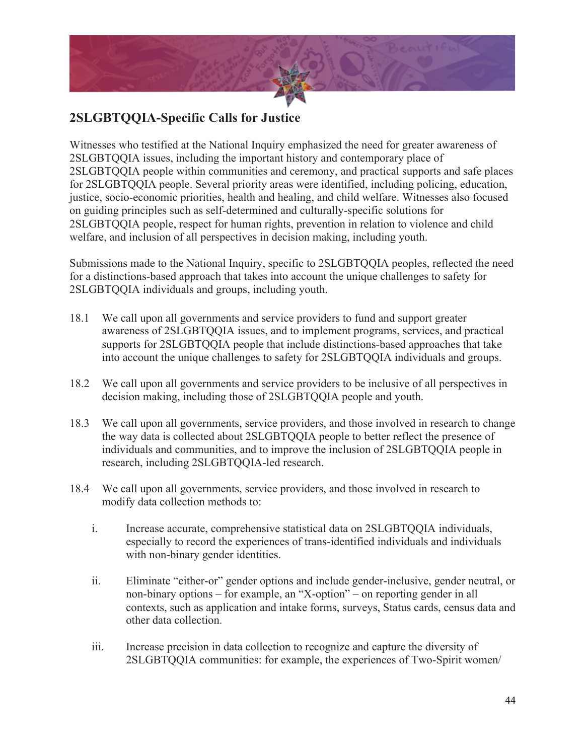

## **2SLGBTQQIA-Specific Calls for Justice**

Witnesses who testified at the National Inquiry emphasized the need for greater awareness of 2SLGBTQQIA issues, including the important history and contemporary place of 2SLGBTQQIA people within communities and ceremony, and practical supports and safe places for 2SLGBTQQIA people. Several priority areas were identified, including policing, education, justice, socio-economic priorities, health and healing, and child welfare. Witnesses also focused on guiding principles such as self-determined and culturally-specific solutions for 2SLGBTQQIA people, respect for human rights, prevention in relation to violence and child welfare, and inclusion of all perspectives in decision making, including youth.

Submissions made to the National Inquiry, specific to 2SLGBTQQIA peoples, reflected the need for a distinctions-based approach that takes into account the unique challenges to safety for 2SLGBTQQIA individuals and groups, including youth.

- 18.1 We call upon all governments and service providers to fund and support greater awareness of 2SLGBTQQIA issues, and to implement programs, services, and practical supports for 2SLGBTQQIA people that include distinctions-based approaches that take into account the unique challenges to safety for 2SLGBTQQIA individuals and groups.
- 18.2 We call upon all governments and service providers to be inclusive of all perspectives in decision making, including those of 2SLGBTQQIA people and youth.
- 18.3 We call upon all governments, service providers, and those involved in research to change the way data is collected about 2SLGBTQQIA people to better reflect the presence of individuals and communities, and to improve the inclusion of 2SLGBTQQIA people in research, including 2SLGBTQQIA-led research.
- 18.4 We call upon all governments, service providers, and those involved in research to modify data collection methods to:
	- i. Increase accurate, comprehensive statistical data on 2SLGBTQQIA individuals, especially to record the experiences of trans-identified individuals and individuals with non-binary gender identities.
	- ii. Eliminate "either-or" gender options and include gender-inclusive, gender neutral, or non-binary options – for example, an "X-option" – on reporting gender in all contexts, such as application and intake forms, surveys, Status cards, census data and other data collection.
	- iii. Increase precision in data collection to recognize and capture the diversity of 2SLGBTQQIA communities: for example, the experiences of Two-Spirit women/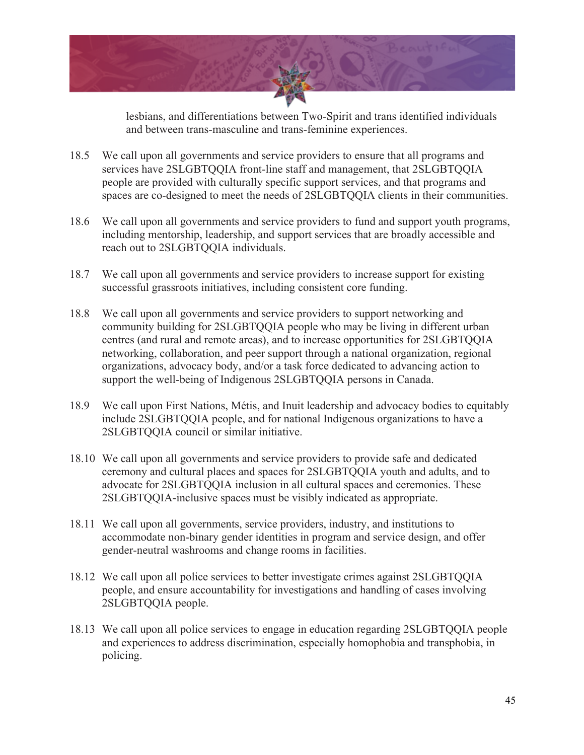

lesbians, and differentiations between Two-Spirit and trans identified individuals and between trans-masculine and trans-feminine experiences.

- 18.5 We call upon all governments and service providers to ensure that all programs and services have 2SLGBTQQIA front-line staff and management, that 2SLGBTQQIA people are provided with culturally specific support services, and that programs and spaces are co-designed to meet the needs of 2SLGBTQQIA clients in their communities.
- 18.6 We call upon all governments and service providers to fund and support youth programs, including mentorship, leadership, and support services that are broadly accessible and reach out to 2SLGBTQQIA individuals.
- 18.7 We call upon all governments and service providers to increase support for existing successful grassroots initiatives, including consistent core funding.
- 18.8 We call upon all governments and service providers to support networking and community building for 2SLGBTQQIA people who may be living in different urban centres (and rural and remote areas), and to increase opportunities for 2SLGBTQQIA networking, collaboration, and peer support through a national organization, regional organizations, advocacy body, and/or a task force dedicated to advancing action to support the well-being of Indigenous 2SLGBTQQIA persons in Canada.
- 18.9 We call upon First Nations, Métis, and Inuit leadership and advocacy bodies to equitably include 2SLGBTQQIA people, and for national Indigenous organizations to have a 2SLGBTQQIA council or similar initiative.
- 18.10 We call upon all governments and service providers to provide safe and dedicated ceremony and cultural places and spaces for 2SLGBTQQIA youth and adults, and to advocate for 2SLGBTQQIA inclusion in all cultural spaces and ceremonies. These 2SLGBTQQIA-inclusive spaces must be visibly indicated as appropriate.
- 18.11 We call upon all governments, service providers, industry, and institutions to accommodate non-binary gender identities in program and service design, and offer gender-neutral washrooms and change rooms in facilities.
- 18.12 We call upon all police services to better investigate crimes against 2SLGBTQQIA people, and ensure accountability for investigations and handling of cases involving 2SLGBTQQIA people.
- 18.13 We call upon all police services to engage in education regarding 2SLGBTQQIA people and experiences to address discrimination, especially homophobia and transphobia, in policing.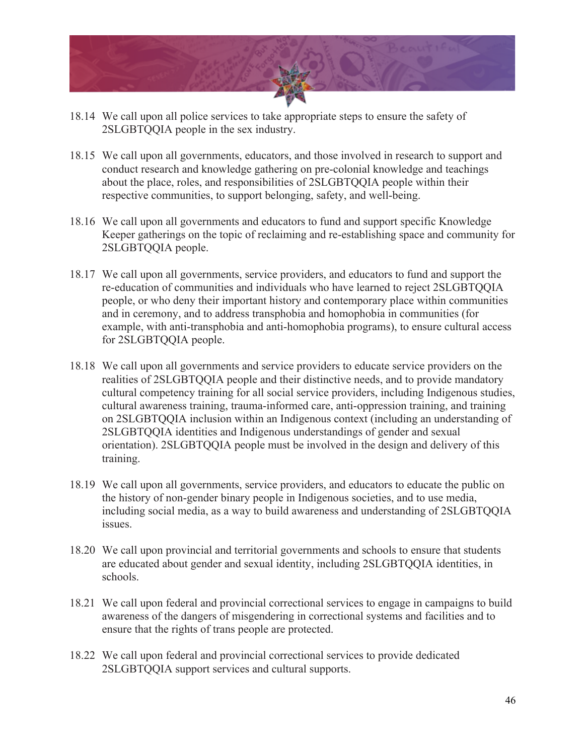

- 18.14 We call upon all police services to take appropriate steps to ensure the safety of 2SLGBTQQIA people in the sex industry.
- 18.15 We call upon all governments, educators, and those involved in research to support and conduct research and knowledge gathering on pre-colonial knowledge and teachings about the place, roles, and responsibilities of 2SLGBTQQIA people within their respective communities, to support belonging, safety, and well-being.
- 18.16 We call upon all governments and educators to fund and support specific Knowledge Keeper gatherings on the topic of reclaiming and re-establishing space and community for 2SLGBTQQIA people.
- 18.17 We call upon all governments, service providers, and educators to fund and support the re-education of communities and individuals who have learned to reject 2SLGBTQQIA people, or who deny their important history and contemporary place within communities and in ceremony, and to address transphobia and homophobia in communities (for example, with anti-transphobia and anti-homophobia programs), to ensure cultural access for 2SLGBTQQIA people.
- 18.18 We call upon all governments and service providers to educate service providers on the realities of 2SLGBTQQIA people and their distinctive needs, and to provide mandatory cultural competency training for all social service providers, including Indigenous studies, cultural awareness training, trauma-informed care, anti-oppression training, and training on 2SLGBTQQIA inclusion within an Indigenous context (including an understanding of 2SLGBTQQIA identities and Indigenous understandings of gender and sexual orientation). 2SLGBTQQIA people must be involved in the design and delivery of this training.
- 18.19 We call upon all governments, service providers, and educators to educate the public on the history of non-gender binary people in Indigenous societies, and to use media, including social media, as a way to build awareness and understanding of 2SLGBTQQIA issues.
- 18.20 We call upon provincial and territorial governments and schools to ensure that students are educated about gender and sexual identity, including 2SLGBTQQIA identities, in schools.
- 18.21 We call upon federal and provincial correctional services to engage in campaigns to build awareness of the dangers of misgendering in correctional systems and facilities and to ensure that the rights of trans people are protected.
- 18.22 We call upon federal and provincial correctional services to provide dedicated 2SLGBTQQIA support services and cultural supports.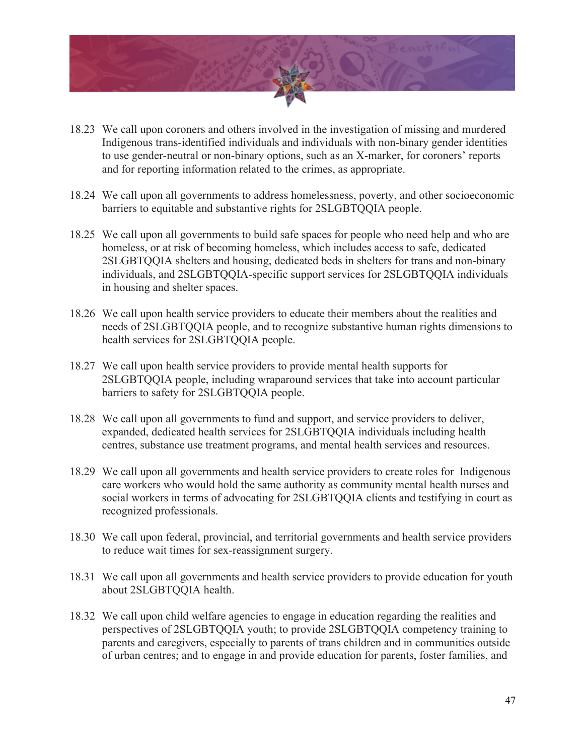

- 18.23 We call upon coroners and others involved in the investigation of missing and murdered Indigenous trans-identified individuals and individuals with non-binary gender identities to use gender-neutral or non-binary options, such as an X-marker, for coroners' reports and for reporting information related to the crimes, as appropriate.
- 18.24 We call upon all governments to address homelessness, poverty, and other socioeconomic barriers to equitable and substantive rights for 2SLGBTQQIA people.
- 18.25 We call upon all governments to build safe spaces for people who need help and who are homeless, or at risk of becoming homeless, which includes access to safe, dedicated 2SLGBTQQIA shelters and housing, dedicated beds in shelters for trans and non-binary individuals, and 2SLGBTQQIA-specific support services for 2SLGBTQQIA individuals in housing and shelter spaces.
- 18.26 We call upon health service providers to educate their members about the realities and needs of 2SLGBTQQIA people, and to recognize substantive human rights dimensions to health services for 2SLGBTQQIA people.
- 18.27 We call upon health service providers to provide mental health supports for 2SLGBTQQIA people, including wraparound services that take into account particular barriers to safety for 2SLGBTQQIA people.
- 18.28 We call upon all governments to fund and support, and service providers to deliver, expanded, dedicated health services for 2SLGBTQQIA individuals including health centres, substance use treatment programs, and mental health services and resources.
- 18.29 We call upon all governments and health service providers to create roles for Indigenous care workers who would hold the same authority as community mental health nurses and social workers in terms of advocating for 2SLGBTQQIA clients and testifying in court as recognized professionals.
- 18.30 We call upon federal, provincial, and territorial governments and health service providers to reduce wait times for sex-reassignment surgery.
- 18.31 We call upon all governments and health service providers to provide education for youth about 2SLGBTQQIA health.
- 18.32 We call upon child welfare agencies to engage in education regarding the realities and perspectives of 2SLGBTQQIA youth; to provide 2SLGBTQQIA competency training to parents and caregivers, especially to parents of trans children and in communities outside of urban centres; and to engage in and provide education for parents, foster families, and